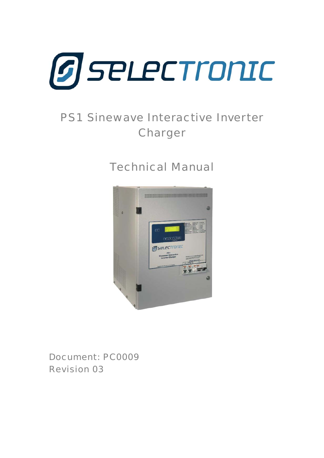

# PS1 Sinewave Interactive Inverter Charger

# Technical Manual



Document: PC0009 Revision 03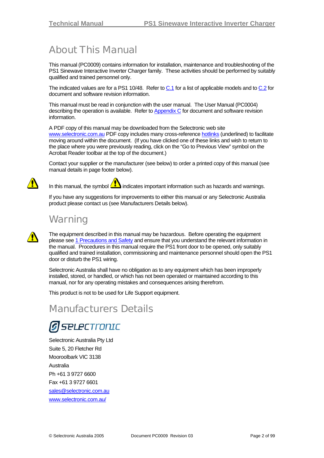## <span id="page-1-0"></span>About This Manual

This manual (PC0009) contains information for installation, maintenance and troubleshooting of the PS1 Sinewave Interactive Inverter Charger family. These activities should be performed by suitably qualified and trained personnel only.

The indicated values are for a PS1 10/48. Refer to [C.1](#page-98-0) for a list of applicable models and to [C.2](#page-98-1) for document and software revision information.

This manual must be read in conjunction with the user manual. The User Manual (PC0004) describing the operation is available. Refer to [Appendix C](#page-98-2) for document and software revision information.

A PDF copy of this manual may be downloaded from the Selectronic web site [www.selectronic.com.au](http://www.selectronic.com.au/) PDF copy includes many cross-reference hotlinks (underlined) to facilitate moving around within the document. (If you have clicked one of these links and wish to return to the place where you were previously reading, click on the "Go to Previous View" symbol on the Acrobat Reader toolbar at the top of the document.)

Contact your supplier or the manufacturer (see below) to order a printed copy of this manual (see manual details in page footer below).



In this manual, the symbol  $\langle I_{\bullet} \rangle$  indicates important information such as hazards and warnings.

If you have any suggestions for improvements to either this manual or any Selectronic Australia product please contact us (see Manufacturers Details below).

## **Warning**

The equipment described in this manual may be hazardous. Before operating the equipment please see [1](#page-6-0) [Precautions and Safety](#page-6-0) and ensure that you understand the relevant information in the manual. Procedures in this manual require the PS1 front door to be opened, only suitably qualified and trained installation, commissioning and maintenance personnel should open the PS1 door or disturb the PS1 wiring.

Selectronic Australia shall have no obligation as to any equipment which has been improperly installed, stored, or handled, or which has not been operated or maintained according to this manual, nor for any operating mistakes and consequences arising therefrom.

This product is not to be used for Life Support equipment.

## Manufacturers Details

# **SPLECTronIC**

Selectronic Australia Pty Ltd Suite 5, 20 Fletcher Rd Mooroolbark VIC 3138 Australia Ph +61 3 9727 6600 Fax +61 3 9727 6601 sales@selectronic.com.au [www.selectronic.com.au/](http://www.selectronic.com.au/)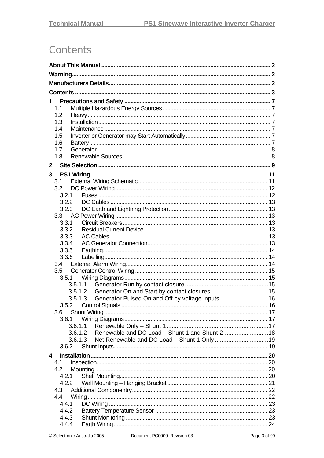## <span id="page-2-0"></span>**Contents**

| 1                         |                                                            |  |
|---------------------------|------------------------------------------------------------|--|
| 1.1                       |                                                            |  |
| 1.2                       |                                                            |  |
| 1.3                       |                                                            |  |
| 1.4                       |                                                            |  |
| 1.5                       |                                                            |  |
| 1.6                       |                                                            |  |
| 1.7                       |                                                            |  |
| 1.8                       |                                                            |  |
| $\mathbf{2}$              |                                                            |  |
| 3                         |                                                            |  |
| 3.1                       |                                                            |  |
| 3.2                       |                                                            |  |
| 3.2.1                     |                                                            |  |
| 3.2.2                     |                                                            |  |
| 3.2.3<br>3.3              |                                                            |  |
| 3.3.1                     |                                                            |  |
| 3.3.2                     |                                                            |  |
| 3.3.3                     |                                                            |  |
| 3.3.4                     |                                                            |  |
| 3.3.5                     |                                                            |  |
| 3.3.6                     |                                                            |  |
| 3.4                       |                                                            |  |
| 3.5                       |                                                            |  |
| 3.5.1                     |                                                            |  |
|                           | 3.5.1.1                                                    |  |
|                           | 3.5.1.2                                                    |  |
|                           | Generator Pulsed On and Off by voltage inputs16<br>3.5.1.3 |  |
| 3.5.2                     |                                                            |  |
| 3.6 <sup>°</sup><br>3.6.1 |                                                            |  |
|                           | 3.6.1.1                                                    |  |
|                           | 3.6.1.2 Renewable and DC Load - Shunt 1 and Shunt 218      |  |
|                           | Net Renewable and DC Load - Shunt 1 Only 19<br>3.6.1.3     |  |
| 3.6.2                     |                                                            |  |
| 4                         |                                                            |  |
| 4.1                       |                                                            |  |
| 4.2                       |                                                            |  |
| 4.2.1                     |                                                            |  |
| 4.2.2                     |                                                            |  |
| 4.3                       |                                                            |  |
| 4.4                       |                                                            |  |
| 4.4.1                     |                                                            |  |
| 4.4.2                     |                                                            |  |
| 4.4.3                     |                                                            |  |
| 4.4.4                     |                                                            |  |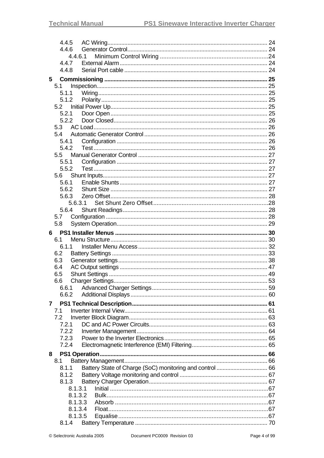| 4.4.5   |  |
|---------|--|
| 4.4.6   |  |
| 4.4.6.1 |  |
| 4.4.7   |  |
| 4.4.8   |  |
| 5       |  |
| 5.1     |  |
| 5.1.1   |  |
| 5.1.2   |  |
|         |  |
| 5.2.1   |  |
| 5.2.2   |  |
| 5.3     |  |
| 5.4     |  |
| 5.4.1   |  |
| 5.4.2   |  |
| $5.5 -$ |  |
| 5.5.1   |  |
| 5.5.2   |  |
| 5.6     |  |
| 5.6.1   |  |
| 5.6.2   |  |
| 5.6.3   |  |
| 5.6.3.1 |  |
| 5.6.4   |  |
| 5.7     |  |
| 5.8     |  |
| 6.      |  |
| 6.1     |  |
| 6.1.1   |  |
| 6.2     |  |
| 6.3     |  |
| 6.4     |  |
| 6.5     |  |
| 6.6     |  |
| 6.6.1   |  |
| 6.6.2   |  |
| 7       |  |
| 7.1     |  |
| 7.2     |  |
| 7.2.1   |  |
| 7.2.2   |  |
| 7.2.3   |  |
| 7.2.4   |  |
| 8       |  |
| 8.1     |  |
| 8.1.1   |  |
| 8.1.2   |  |
| 8.1.3   |  |
| 8.1.3.1 |  |
| 8.1.3.2 |  |
| 8.1.3.3 |  |
| 8.1.3.4 |  |
| 8.1.3.5 |  |
| 8.1.4   |  |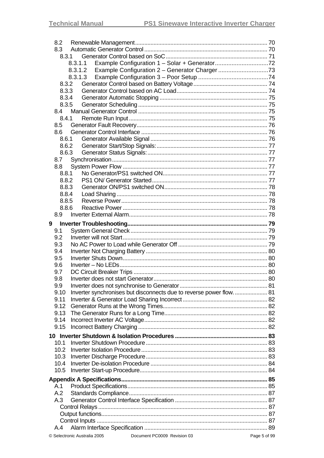| 8.2   |                              |                                                                      |              |
|-------|------------------------------|----------------------------------------------------------------------|--------------|
| 8.3   |                              |                                                                      |              |
| 8.3.1 |                              |                                                                      |              |
|       | 8.3.1.1                      |                                                                      |              |
|       | 8.3.1.2                      |                                                                      |              |
|       | 8.3.1.3                      |                                                                      |              |
| 8.3.2 |                              |                                                                      |              |
| 8.3.3 |                              |                                                                      |              |
| 8.3.4 |                              |                                                                      |              |
| 8.3.5 |                              |                                                                      |              |
| 8.4   |                              |                                                                      |              |
| 8.4.1 |                              |                                                                      |              |
| 8.5   |                              |                                                                      |              |
| 8.6   |                              |                                                                      |              |
| 8.6.1 |                              |                                                                      |              |
| 8.6.2 |                              |                                                                      |              |
| 8.6.3 |                              |                                                                      |              |
| 8.7   |                              |                                                                      |              |
| 8.8   |                              |                                                                      |              |
| 8.8.1 |                              |                                                                      |              |
| 8.8.2 |                              |                                                                      |              |
| 8.8.3 |                              |                                                                      |              |
| 8.8.4 |                              |                                                                      |              |
| 8.8.5 |                              |                                                                      |              |
| 8.8.6 |                              |                                                                      |              |
| 8.9   |                              |                                                                      |              |
| 9     |                              |                                                                      |              |
| 9.1   |                              |                                                                      |              |
| 9.2   |                              |                                                                      |              |
| 9.3   |                              |                                                                      |              |
| 9.4   |                              |                                                                      |              |
|       |                              |                                                                      |              |
| 9.5   |                              |                                                                      |              |
| 9.6   |                              |                                                                      |              |
| 9.7   |                              |                                                                      |              |
| 9.8   |                              |                                                                      |              |
| 9.9   |                              |                                                                      |              |
| 9.10  |                              | Inverter synchronises but disconnects due to reverse power flow.  81 |              |
| 9.11  |                              |                                                                      |              |
| 9.12  |                              |                                                                      |              |
| 9.13  |                              |                                                                      |              |
| 9.14  |                              |                                                                      |              |
| 9.15  |                              |                                                                      |              |
|       |                              |                                                                      |              |
| 10.1  |                              |                                                                      |              |
| 10.2  |                              |                                                                      |              |
| 10.3  |                              |                                                                      |              |
| 10.4  |                              |                                                                      |              |
| 10.5  |                              |                                                                      |              |
|       |                              |                                                                      |              |
| A.1   |                              |                                                                      |              |
| A.2   |                              |                                                                      |              |
| A.3   |                              |                                                                      |              |
|       |                              |                                                                      |              |
|       |                              |                                                                      |              |
|       |                              |                                                                      |              |
| A.4   |                              |                                                                      |              |
|       |                              |                                                                      |              |
|       | © Selectronic Australia 2005 | Document PC0009 Revision 03                                          | Page 5 of 99 |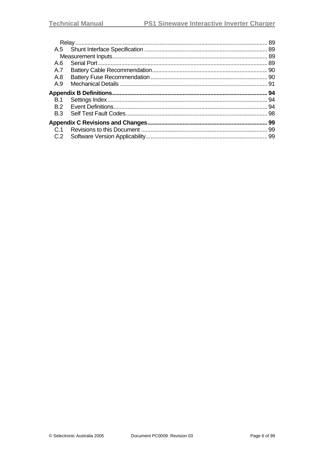|            | 89  |
|------------|-----|
| A.5        |     |
|            |     |
| A.6        |     |
| A.7        |     |
| A.8        |     |
| A.9        |     |
|            | 94  |
| <b>B.1</b> | .94 |
| B.2        |     |
| B.3        |     |
|            | 99  |
| C.1        | -99 |
|            |     |
| C.2        |     |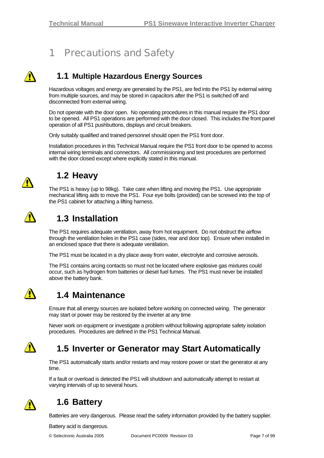## <span id="page-6-1"></span>1 Precautions and Safety

<span id="page-6-0"></span>

### **1.1 Multiple Hazardous Energy Sources**

Hazardous voltages and energy are generated by the PS1, are fed into the PS1 by external wiring from multiple sources, and may be stored in capacitors after the PS1 is switched off and disconnected from external wiring.

Do not operate with the door open. No operating procedures in this manual require the PS1 door to be opened. All PS1 operations are performed with the door closed. This includes the front panel operation of all PS1 pushbuttons, displays and circuit breakers.

Only suitably qualified and trained personnel should open the PS1 front door.

Installation procedures in this Technical Manual require the PS1 front door to be opened to access internal wiring terminals and connectors. All commissioning and test procedures are performed with the door closed except where explicitly stated in this manual.



## **1.2 Heavy**

The PS1 is heavy (up to 98kg). Take care when lifting and moving the PS1. Use appropriate mechanical lifting aids to move the PS1. Four eye bolts (provided) can be screwed into the top of the PS1 cabinet for attaching a lifting harness.



## **1.3 Installation**

The PS1 requires adequate ventilation, away from hot equipment. Do not obstruct the airflow through the ventilation holes in the PS1 case (sides, rear and door top). Ensure when installed in an enclosed space that there is adequate ventilation.

The PS1 must be located in a dry place away from water, electrolyte and corrosive aerosols.

The PS1 contains arcing contacts so must not be located where explosive gas mixtures could occur, such as hydrogen from batteries or diesel fuel fumes. The PS1 must never be installed above the battery bank.



### **1.4 Maintenance**

Ensure that all energy sources are isolated before working on connected wiring. The generator may start or power may be restored by the inverter at any time

Never work on equipment or investigate a problem without following appropriate safety isolation procedures. Procedures are defined in the PS1 Technical Manual.



### **1.5 Inverter or Generator may Start Automatically**

The PS1 automatically starts and/or restarts and may restore power or start the generator at any time.

If a fault or overload is detected the PS1 will shutdown and automatically attempt to restart at varying intervals of up to several hours.



### **1.6 Battery**

Batteries are very dangerous. Please read the safety information provided by the battery supplier.

Battery acid is dangerous.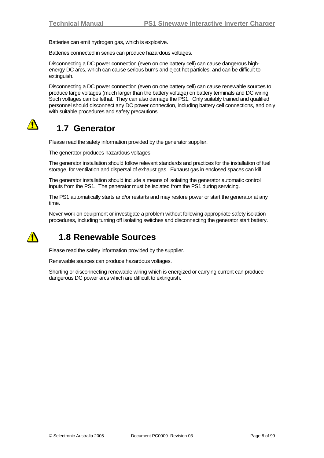<span id="page-7-0"></span>Batteries can emit hydrogen gas, which is explosive.

Batteries connected in series can produce hazardous voltages.

Disconnecting a DC power connection (even on one battery cell) can cause dangerous highenergy DC arcs, which can cause serious burns and eject hot particles, and can be difficult to extinguish.

Disconnecting a DC power connection (even on one battery cell) can cause renewable sources to produce large voltages (much larger than the battery voltage) on battery terminals and DC wiring. Such voltages can be lethal. They can also damage the PS1. Only suitably trained and qualified personnel should disconnect any DC power connection, including battery cell connections, and only with suitable procedures and safety precautions.



### **1.7 Generator**

Please read the safety information provided by the generator supplier.

The generator produces hazardous voltages.

The generator installation should follow relevant standards and practices for the installation of fuel storage, for ventilation and dispersal of exhaust gas. Exhaust gas in enclosed spaces can kill.

The generator installation should include a means of isolating the generator automatic control inputs from the PS1. The generator must be isolated from the PS1 during servicing.

The PS1 automatically starts and/or restarts and may restore power or start the generator at any time.

Never work on equipment or investigate a problem without following appropriate safety isolation procedures, including turning off isolating switches and disconnecting the generator start battery.



### **1.8 Renewable Sources**

Please read the safety information provided by the supplier.

Renewable sources can produce hazardous voltages.

Shorting or disconnecting renewable wiring which is energized or carrying current can produce dangerous DC power arcs which are difficult to extinguish.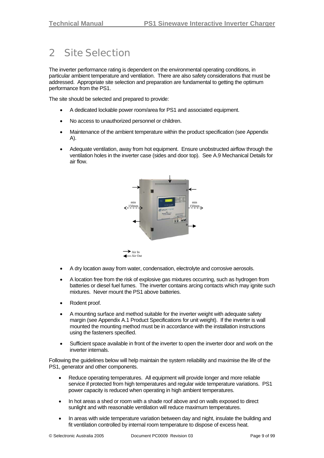## <span id="page-8-0"></span>2 Site Selection

The inverter performance rating is dependent on the environmental operating conditions, in particular ambient temperature and ventilation. There are also safety considerations that must be addressed. Appropriate site selection and preparation are fundamental to getting the optimum performance from the PS1.

The site should be selected and prepared to provide:

- A dedicated lockable power room/area for PS1 and associated equipment.
- No access to unauthorized personnel or children.
- Maintenance of the ambient temperature within the product specification (see Appendix [A\)](#page-84-1).
- Adequate ventilation, away from hot equipment. Ensure unobstructed airflow through the ventilation holes in the inverter case (sides and door top). See [A.9](#page-90-1) [Mechanical Details](#page-90-1) for air flow.



- A dry location away from water, condensation, electrolyte and corrosive aerosols.
- A location free from the risk of explosive gas mixtures occurring, such as hydrogen from batteries or diesel fuel fumes. The inverter contains arcing contacts which may ignite such mixtures. Never mount the PS1 above batteries.
- Rodent proof.
- A mounting surface and method suitable for the inverter weight with adequate safety margin (see Appendix [A.1](#page-84-2) [Product Specifications](#page-84-2) for unit weight). If the inverter is wall mounted the mounting method must be in accordance with the installation instructions using the fasteners specified.
- Sufficient space available in front of the inverter to open the inverter door and work on the inverter internals.

Following the guidelines below will help maintain the system reliability and maximise the life of the PS1, generator and other components.

- Reduce operating temperatures. All equipment will provide longer and more reliable service if protected from high temperatures and regular wide temperature variations. PS1 power capacity is reduced when operating in high ambient temperatures.
- In hot areas a shed or room with a shade roof above and on walls exposed to direct sunlight and with reasonable ventilation will reduce maximum temperatures.
- In areas with wide temperature variation between day and night, insulate the building and fit ventilation controlled by internal room temperature to dispose of excess heat.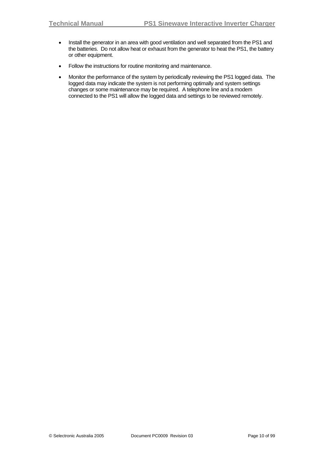- Install the generator in an area with good ventilation and well separated from the PS1 and the batteries. Do not allow heat or exhaust from the generator to heat the PS1, the battery or other equipment.
- Follow the instructions for routine monitoring and maintenance.
- Monitor the performance of the system by periodically reviewing the PS1 logged data. The logged data may indicate the system is not performing optimally and system settings changes or some maintenance may be required. A telephone line and a modem connected to the PS1 will allow the logged data and settings to be reviewed remotely.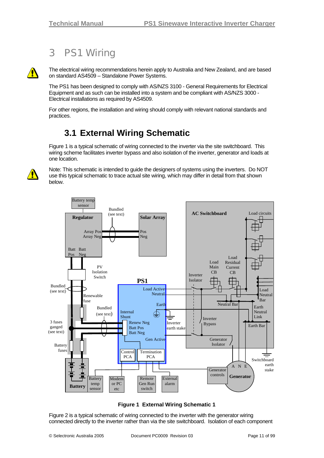## <span id="page-10-0"></span>3 PS1 Wiring



The electrical wiring recommendations herein apply to Australia and New Zealand, and are based on standard AS4509 – Standalone Power Systems.

The PS1 has been designed to comply with AS/NZS 3100 - General Requirements for Electrical Equipment and as such can be installed into a system and be compliant with AS/NZS 3000 - Electrical installations as required by AS4509.

For other regions, the installation and wiring should comply with relevant national standards and practices.

## **3.1 External Wiring Schematic**

Figure 1 is a typical schematic of wiring connected to the inverter via the site switchboard. This wiring scheme facilitates inverter bypass and also isolation of the inverter, generator and loads at one location.

<span id="page-10-1"></span>

Note: This schematic is intended to guide the designers of systems using the inverters. Do NOT use this typical schematic to trace actual site wiring, which may differ in detail from that shown below.



**Figure 1 External Wiring Schematic 1** 

Figure 2 is a typical schematic of wiring connected to the inverter with the generator wiring connected directly to the inverter rather than via the site switchboard. Isolation of each component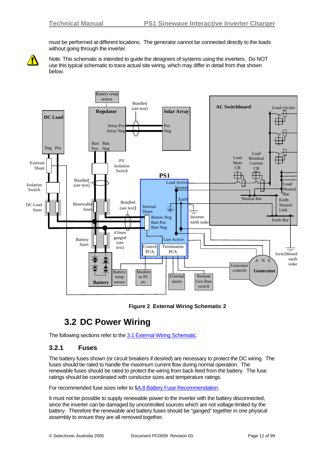must be performed at different locations. The generator cannot be connected directly to the loads without going through the inverter.

<span id="page-11-0"></span>

Note: This schematic is intended to guide the designers of systems using the inverters. Do NOT use this typical schematic to trace actual site wiring, which may differ in detail from that shown below.



#### **Figure 2 External Wiring Schematic 2**

### **3.2 DC Power Wiring**

The following sections refer to the [3.1](#page-10-1) [External Wiring Schematic.](#page-10-1)

### **3.2.1 Fuses**

The battery fuses shown (or circuit breakers if desired) are necessary to protect the DC wiring. The fuses should be rated to handle the maximum current flow during normal operation. The renewable fuses should be rated to protect the wiring from back feed from the battery. The fuse ratings should be coordinated with conductor sizes and temperature ratings.

For recommended fuse sizes refer to [§A.8](#page-89-1) [Battery Fuse Recommendation](#page-89-1).

It must not be possible to supply renewable power to the inverter with the battery disconnected, since the inverter can be damaged by uncontrolled sources which are not voltage-limited by the battery. Therefore the renewable and battery fuses should be "ganged" together in one physical assembly to ensure they are all removed together.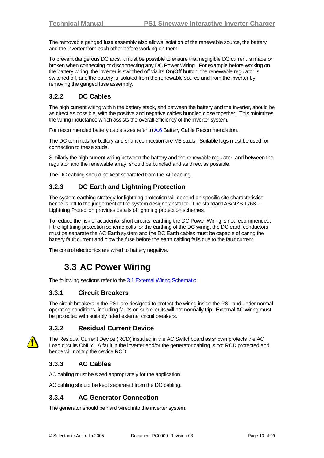<span id="page-12-0"></span>The removable ganged fuse assembly also allows isolation of the renewable source, the battery and the inverter from each other before working on them.

To prevent dangerous DC arcs, it must be possible to ensure that negligible DC current is made or broken when connecting or disconnecting any DC Power Wiring. For example before working on the battery wiring, the inverter is switched off via its **On/Off** button, the renewable regulator is switched off, and the battery is isolated from the renewable source and from the inverter by removing the ganged fuse assembly.

### **3.2.2 DC Cables**

The high current wiring within the battery stack, and between the battery and the inverter, should be as direct as possible, with the positive and negative cables bundled close together. This minimizes the wiring inductance which assists the overall efficiency of the inverter system.

For recommended battery cable sizes refer to [A.6](#page-89-2) [Battery Cable Recommendation.](#page-89-3)

The DC terminals for battery and shunt connection are M8 studs. Suitable lugs must be used for connection to these studs.

Similarly the high current wiring between the battery and the renewable regulator, and between the regulator and the renewable array, should be bundled and as direct as possible.

The DC cabling should be kept separated from the AC cabling.

### **3.2.3 DC Earth and Lightning Protection**

The system earthing strategy for lightning protection will depend on specific site characteristics hence is left to the judgement of the system designer/installer. The standard AS/NZS 1768 -Lightning Protection provides details of lightning protection schemes.

To reduce the risk of accidental short circuits, earthing the DC Power Wiring is not recommended. If the lightning protection scheme calls for the earthing of the DC wiring, the DC earth conductors must be separate the AC Earth system and the DC Earth cables must be capable of caring the battery fault current and blow the fuse before the earth cabling fails due to the fault current.

The control electronics are wired to battery negative.

### **3.3 AC Power Wiring**

The following sections refer to the [3.1](#page-10-1) [External Wiring Schematic.](#page-10-1)

### **3.3.1 Circuit Breakers**

The circuit breakers in the PS1 are designed to protect the wiring inside the PS1 and under normal operating conditions, including faults on sub circuits will not normally trip. External AC wiring must be protected with suitably rated external circuit breakers.

### **3.3.2 Residual Current Device**



The Residual Current Device (RCD) installed in the AC Switchboard as shown protects the AC Load circuits ONLY. A fault in the inverter and/or the generator cabling is not RCD protected and hence will not trip the device RCD.

### **3.3.3 AC Cables**

AC cabling must be sized appropriately for the application.

AC cabling should be kept separated from the DC cabling.

### **3.3.4 AC Generator Connection**

The generator should be hard wired into the inverter system.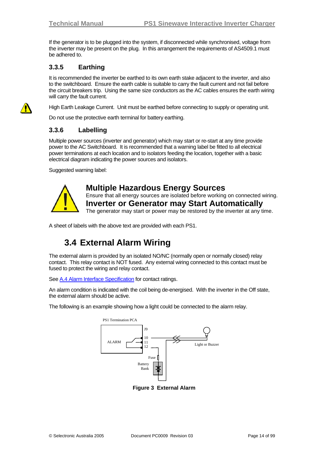<span id="page-13-0"></span>If the generator is to be plugged into the system, if disconnected while synchronised, voltage from the inverter may be present on the plug. In this arrangement the requirements of AS4509.1 must be adhered to.

### **3.3.5 Earthing**

It is recommended the inverter be earthed to its own earth stake adjacent to the inverter, and also to the switchboard. Ensure the earth cable is suitable to carry the fault current and not fail before the circuit breakers trip. Using the same size conductors as the AC cables ensures the earth wiring will carry the fault current.

High Earth Leakage Current. Unit must be earthed before connecting to supply or operating unit.

Do not use the protective earth terminal for battery earthing.

### **3.3.6 Labelling**

Multiple power sources (inverter and generator) which may start or re-start at any time provide power to the AC Switchboard. It is recommended that a warning label be fitted to all electrical power terminations at each location and to isolators feeding the location, together with a basic electrical diagram indicating the power sources and isolators.

Suggested warning label:



### **Multiple Hazardous Energy Sources**

Ensure that all energy sources are isolated before working on connected wiring. **Inverter or Generator may Start Automatically** 

The generator may start or power may be restored by the inverter at any time.

A sheet of labels with the above text are provided with each PS1.

## **3.4 External Alarm Wiring**

The external alarm is provided by an isolated NO/NC (normally open or normally closed) relay contact. This relay contact is NOT fused. Any external wiring connected to this contact must be fused to protect the wiring and relay contact.

See [A.4](#page-88-1) [Alarm Interface Specification](#page-88-1) for contact ratings.

An alarm condition is indicated with the coil being de-energised. With the inverter in the Off state, the external alarm should be active.

The following is an example showing how a light could be connected to the alarm relay.



**Figure 3 External Alarm**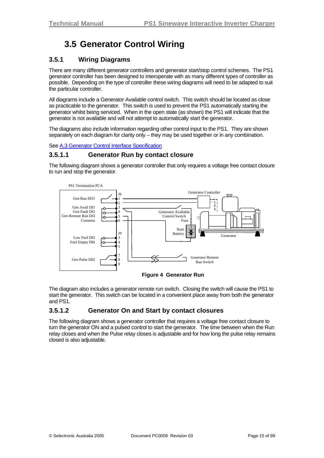## **3.5 Generator Control Wiring**

### <span id="page-14-0"></span>**3.5.1 Wiring Diagrams**

There are many different generator controllers and generator start/stop control schemes. The PS1 generator controller has been designed to interoperate with as many different types of controller as possible. Depending on the type of controller these wiring diagrams will need to be adapted to suit the particular controller.

All diagrams include a Generator Available control switch. This switch should be located as close as practicable to the generator. This switch is used to prevent the PS1 automatically starting the generator whilst being serviced. When in the open state (as shown) the PS1 will indicate that the generator is not available and will not attempt to automatically start the generator.

The diagrams also include information regarding other control input to the PS1. They are shown separately on each diagram for clarity only – they may be used together or in any combination.

See [A.3](#page-86-1) [Generator Control Interface Specification](#page-86-1)

#### **3.5.1.1 Generator Run by contact closure**

The following diagram shows a generator controller that only requires a voltage free contact closure to run and stop the generator.



**Figure 4 Generator Run** 

The diagram also includes a generator remote run switch. Closing the switch will cause the PS1 to start the generator. This switch can be located in a convenient place away from both the generator and PS1.

### **3.5.1.2 Generator On and Start by contact closures**

The following diagram shows a generator controller that requires a voltage free contact closure to turn the generator ON and a pulsed control to start the generator. The time between when the Run relay closes and when the Pulse relay closes is adjustable and for how long the pulse relay remains closed is also adjustable.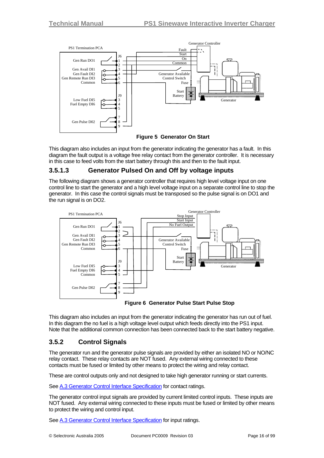<span id="page-15-0"></span>



This diagram also includes an input from the generator indicating the generator has a fault. In this diagram the fault output is a voltage free relay contact from the generator controller. It is necessary in this case to feed volts from the start battery through this and then to the fault input.

### **3.5.1.3 Generator Pulsed On and Off by voltage inputs**

The following diagram shows a generator controller that requires high level voltage input on one control line to start the generator and a high level voltage input on a separate control line to stop the generator. In this case the control signals must be transposed so the pulse signal is on DO1 and the run signal is on DO2.





This diagram also includes an input from the generator indicating the generator has run out of fuel. In this diagram the no fuel is a high voltage level output which feeds directly into the PS1 input. Note that the additional common connection has been connected back to the start battery negative.

### **3.5.2 Control Signals**

The generator run and the generator pulse signals are provided by either an isolated NO or NO/NC relay contact. These relay contacts are NOT fused. Any external wiring connected to these contacts must be fused or limited by other means to protect the wiring and relay contact.

These are control outputs only and not designed to take high generator running or start currents.

See [A.3](#page-86-1) [Generator Control Interface Specification](#page-86-1) for contact ratings.

The generator control input signals are provided by current limited control inputs. These inputs are NOT fused. Any external wiring connected to these inputs must be fused or limited by other means to protect the wiring and control input.

See [A.3](#page-86-1) [Generator Control Interface Specification](#page-86-1) for input ratings.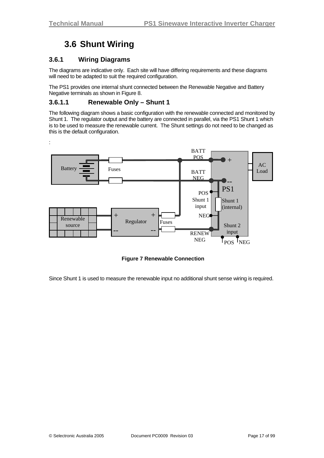## **3.6 Shunt Wiring**

### <span id="page-16-0"></span>**3.6.1 Wiring Diagrams**

The diagrams are indicative only. Each site will have differing requirements and these diagrams will need to be adapted to suit the required configuration.

The PS1 provides one internal shunt connected between the Renewable Negative and Battery Negative terminals as shown in Figure 8.

#### **3.6.1.1 Renewable Only – Shunt 1**

The following diagram shows a basic configuration with the renewable connected and monitored by Shunt 1. The regulator output and the battery are connected in parallel, via the PS1 Shunt 1 which is to be used to measure the renewable current. The Shunt settings do not need to be changed as this is the default configuration.



**Figure 7 Renewable Connection** 

Since Shunt 1 is used to measure the renewable input no additional shunt sense wiring is required.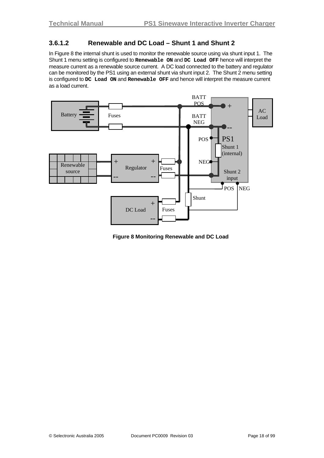### <span id="page-17-0"></span>**3.6.1.2 Renewable and DC Load – Shunt 1 and Shunt 2**

In Figure 8 the internal shunt is used to monitor the renewable source using via shunt input 1. The Shunt 1 menu setting is configured to **Renewable ON** and **DC Load OFF** hence will interpret the measure current as a renewable source current. A DC load connected to the battery and regulator can be monitored by the PS1 using an external shunt via shunt input 2. The Shunt 2 menu setting is configured to **DC Load ON** and **Renewable OFF** and hence will interpret the measure current as a load current.



**Figure 8 Monitoring Renewable and DC Load**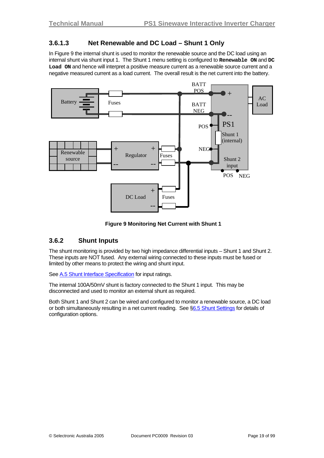### <span id="page-18-0"></span>**3.6.1.3 Net Renewable and DC Load – Shunt 1 Only**

In Figure 9 the internal shunt is used to monitor the renewable source and the DC load using an internal shunt via shunt input 1. The Shunt 1 menu setting is configured to **Renewable ON** and **DC Load ON** and hence will interpret a positive measure current as a renewable source current and a negative measured current as a load current. The overall result is the net current into the battery.



**Figure 9 Monitoring Net Current with Shunt 1**

### **3.6.2 Shunt Inputs**

The shunt monitoring is provided by two high impedance differential inputs – Shunt 1 and Shunt 2. These inputs are NOT fused. Any external wiring connected to these inputs must be fused or limited by other means to protect the wiring and shunt input.

See [A.5](#page-88-2) [Shunt Interface Specification](#page-88-2) for input ratings.

The internal 100A/50mV shunt is factory connected to the Shunt 1 input. This may be disconnected and used to monitor an external shunt as required.

Both Shunt 1 and Shunt 2 can be wired and configured to monitor a renewable source, a DC load or both simultaneously resulting in a net current reading. See [§6.5](#page-48-1) [Shunt Settings](#page-48-1) for details of configuration options.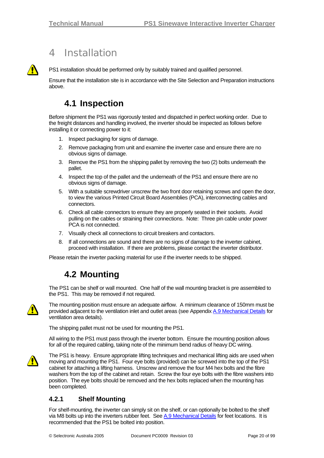### 4 Installation

<span id="page-19-0"></span>

PS1 installation should be performed only by suitably trained and qualified personnel.

Ensure that the installation site is in accordance with the Site Selection and Preparation instructions above.

### **4.1 Inspection**

Before shipment the PS1 was rigorously tested and dispatched in perfect working order. Due to the freight distances and handling involved, the inverter should be inspected as follows before installing it or connecting power to it:

- 1. Inspect packaging for signs of damage.
- 2. Remove packaging from unit and examine the inverter case and ensure there are no obvious signs of damage.
- 3. Remove the PS1 from the shipping pallet by removing the two (2) bolts underneath the pallet.
- 4. Inspect the top of the pallet and the underneath of the PS1 and ensure there are no obvious signs of damage.
- 5. With a suitable screwdriver unscrew the two front door retaining screws and open the door, to view the various Printed Circuit Board Assemblies (PCA), interconnecting cables and connectors.
- 6. Check all cable connectors to ensure they are properly seated in their sockets. Avoid pulling on the cables or straining their connections. Note: Three pin cable under power PCA is not connected.
- 7. Visually check all connections to circuit breakers and contactors.
- 8. If all connections are sound and there are no signs of damage to the inverter cabinet, proceed with installation. If there are problems, please contact the inverter distributor.

Please retain the inverter packing material for use if the inverter needs to be shipped.

### **4.2 Mounting**

The PS1 can be shelf or wall mounted. One half of the wall mounting bracket is pre assembled to the PS1. This may be removed if not required.



The mounting position must ensure an adequate airflow. A minimum clearance of 150mm must be provided adjacent to the ventilation inlet and outlet areas (see Appendix [A.9](#page-90-1) [Mechanical Details](#page-90-1) for ventilation area details).

The shipping pallet must not be used for mounting the PS1.

All wiring to the PS1 must pass through the inverter bottom. Ensure the mounting position allows for all of the required cabling, taking note of the minimum bend radius of heavy DC wiring.



The PS1 is heavy. Ensure appropriate lifting techniques and mechanical lifting aids are used when moving and mounting the PS1. Four eye bolts (provided) can be screwed into the top of the PS1 cabinet for attaching a lifting harness. Unscrew and remove the four M4 hex bolts and the fibre washers from the top of the cabinet and retain. Screw the four eye bolts with the fibre washers into position. The eye bolts should be removed and the hex bolts replaced when the mounting has been completed.

### **4.2.1 Shelf Mounting**

For shelf-mounting, the inverter can simply sit on the shelf, or can optionally be bolted to the shelf via M8 bolts up into the inverters rubber feet. See [A.9](#page-90-1) [Mechanical Details](#page-90-1) for feet locations. It is recommended that the PS1 be bolted into position.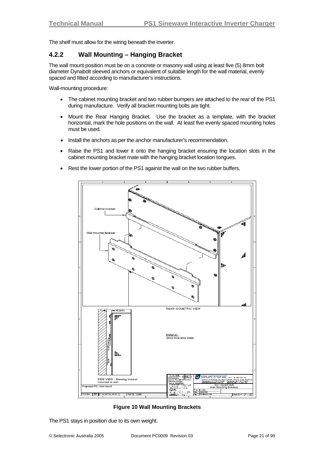<span id="page-20-0"></span>The shelf must allow for the wiring beneath the inverter.

#### **4.2.2 Wall Mounting – Hanging Bracket**

The wall mount position must be on a concrete or masonry wall using at least five (5) 8mm bolt diameter Dynabolt sleeved anchors or equivalent of suitable length for the wall material, evenly spaced and fitted according to manufacturer's instructions.

Wall-mounting procedure:

- The cabinet mounting bracket and two rubber bumpers are attached to the rear of the PS1 during manufacture. Verify all bracket mounting bolts are tight.
- Mount the Rear Hanging Bracket. Use the bracket as a template, with the bracket horizontal, mark the hole positions on the wall. At least five evenly spaced mounting holes must be used.
- Install the anchors as per the anchor manufacturer's recommendation.
- Raise the PS1 and lower it onto the hanging bracket ensuring the location slots in the cabinet mounting bracket mate with the hanging bracket location tongues.
- Rest the lower portion of the PS1 against the wall on the two rubber buffers.



**Figure 10 Wall Mounting Brackets** 

The PS1 stays in position due to its own weight.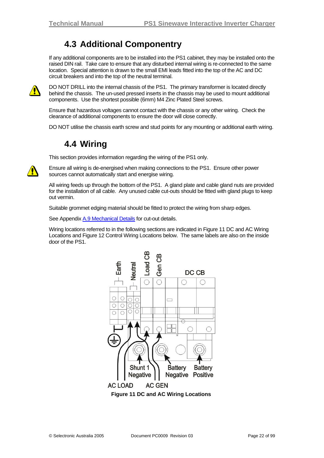### **4.3 Additional Componentry**

<span id="page-21-0"></span>If any additional components are to be installed into the PS1 cabinet, they may be installed onto the raised DIN rail. Take care to ensure that any disturbed internal wiring is re-connected to the same location. Special attention is drawn to the small EMI leads fitted into the top of the AC and DC circuit breakers and into the top of the neutral terminal.



DO NOT DRILL into the internal chassis of the PS1. The primary transformer is located directly behind the chassis. The un-used pressed inserts in the chassis may be used to mount additional components. Use the shortest possible (6mm) M4 Zinc Plated Steel screws.

Ensure that hazardous voltages cannot contact with the chassis or any other wiring. Check the clearance of additional components to ensure the door will close correctly.

DO NOT utilise the chassis earth screw and stud points for any mounting or additional earth wiring.

## **4.4 Wiring**

This section provides information regarding the wiring of the PS1 only.



Ensure all wiring is de-energised when making connections to the PS1. Ensure other power sources cannot automatically start and energise wiring.

All wiring feeds up through the bottom of the PS1. A gland plate and cable gland nuts are provided for the installation of all cable. Any unused cable cut-outs should be fitted with gland plugs to keep out vermin.

Suitable grommet edging material should be fitted to protect the wiring from sharp edges.

See Appendix [A.9](#page-90-1) [Mechanical Details](#page-90-1) for cut-out details.

Wiring locations referred to in the following sections are indicated in Figure 11 DC and AC Wiring Locations and Figure 12 Control Wiring Locations below. The same labels are also on the inside door of the PS1.

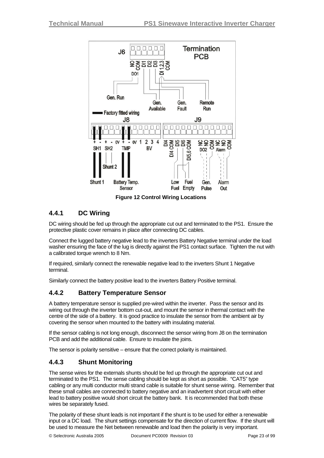<span id="page-22-0"></span>

**Figure 12 Control Wiring Locations** 

### **4.4.1 DC Wiring**

DC wiring should be fed up through the appropriate cut out and terminated to the PS1. Ensure the protective plastic cover remains in place after connecting DC cables.

Connect the lugged battery negative lead to the inverters Battery Negative terminal under the load washer ensuring the face of the lug is directly against the PS1 contact surface. Tighten the nut with a calibrated torque wrench to 8 Nm.

If required, similarly connect the renewable negative lead to the inverters Shunt 1 Negative terminal.

Similarly connect the battery positive lead to the inverters Battery Positive terminal.

### **4.4.2 Battery Temperature Sensor**

A battery temperature sensor is supplied pre-wired within the inverter. Pass the sensor and its wiring out through the inverter bottom cut-out, and mount the sensor in thermal contact with the centre of the side of a battery. It is good practice to insulate the sensor from the ambient air by covering the sensor when mounted to the battery with insulating material.

If the sensor cabling is not long enough, disconnect the sensor wiring from J8 on the termination PCB and add the additional cable. Ensure to insulate the joins.

The sensor is polarity sensitive – ensure that the correct polarity is maintained.

### **4.4.3 Shunt Monitoring**

The sense wires for the externals shunts should be fed up through the appropriate cut out and terminated to the PS1. The sense cabling should be kept as short as possible. "CAT5" type cabling or any multi conductor multi strand cable is suitable for shunt sense wiring. Remember that these small cables are connected to battery negative and an inadvertent short circuit with either lead to battery positive would short circuit the battery bank. It is recommended that both these wires be separately fused.

The polarity of these shunt leads is not important if the shunt is to be used for either a renewable input or a DC load. The shunt settings compensate for the direction of current flow. If the shunt will be used to measure the Net between renewable and load then the polarity is very important.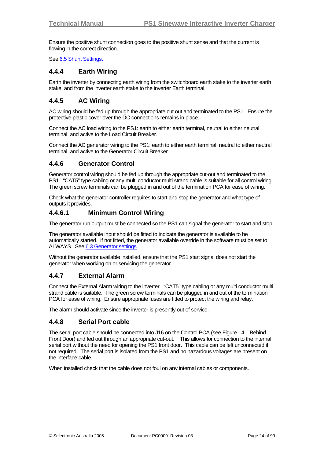<span id="page-23-0"></span>Ensure the positive shunt connection goes to the positive shunt sense and that the current is flowing in the correct direction.

See [6.5](#page-48-1) [Shunt Settings.](#page-48-1)

#### **4.4.4 Earth Wiring**

Earth the inverter by connecting earth wiring from the switchboard earth stake to the inverter earth stake, and from the inverter earth stake to the inverter Earth terminal.

#### **4.4.5 AC Wiring**

AC wiring should be fed up through the appropriate cut out and terminated to the PS1. Ensure the protective plastic cover over the DC connections remains in place.

Connect the AC load wiring to the PS1: earth to either earth terminal, neutral to either neutral terminal, and active to the Load Circuit Breaker.

Connect the AC generator wiring to the PS1: earth to either earth terminal, neutral to either neutral terminal, and active to the Generator Circuit Breaker.

#### **4.4.6 Generator Control**

Generator control wiring should be fed up through the appropriate cut-out and terminated to the PS1. "CAT5" type cabling or any multi conductor multi strand cable is suitable for all control wiring. The green screw terminals can be plugged in and out of the termination PCA for ease of wiring.

Check what the generator controller requires to start and stop the generator and what type of outputs it provides.

#### **4.4.6.1 Minimum Control Wiring**

The generator run output must be connected so the PS1 can signal the generator to start and stop.

The generator available input should be fitted to indicate the generator is available to be automatically started. If not fitted, the generator available override in the software must be set to ALWAYS. See [6.3](#page-37-1) [Generator settings.](#page-37-1)

Without the generator available installed, ensure that the PS1 start signal does not start the generator when working on or servicing the generator.

#### **4.4.7 External Alarm**

Connect the External Alarm wiring to the inverter. "CAT5" type cabling or any multi conductor multi strand cable is suitable. The green screw terminals can be plugged in and out of the termination PCA for ease of wiring. Ensure appropriate fuses are fitted to protect the wiring and relay.

The alarm should activate since the inverter is presently out of service.

#### **4.4.8 Serial Port cable**

The serial port cable should be connected into J16 on the Control PCA (see Figure 14 Behind Front Door) and fed out through an appropriate cut-out. This allows for connection to the internal serial port without the need for opening the PS1 front door. This cable can be left unconnected if not required. The serial port is isolated from the PS1 and no hazardous voltages are present on the interface cable.

When installed check that the cable does not foul on any internal cables or components.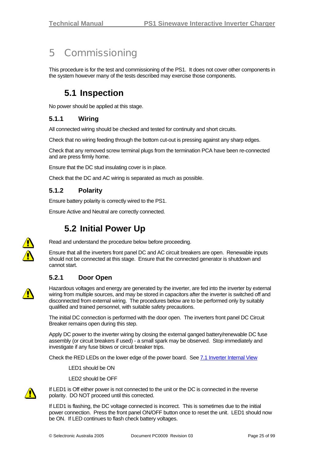## <span id="page-24-0"></span>5 Commissioning

This procedure is for the test and commissioning of the PS1. It does not cover other components in the system however many of the tests described may exercise those components.

## **5.1 Inspection**

No power should be applied at this stage.

### **5.1.1 Wiring**

All connected wiring should be checked and tested for continuity and short circuits.

Check that no wiring feeding through the bottom cut-out is pressing against any sharp edges.

Check that any removed screw terminal plugs from the termination PCA have been re-connected and are press firmly home.

Ensure that the DC stud insulating cover is in place.

Check that the DC and AC wiring is separated as much as possible.

### **5.1.2 Polarity**

Ensure battery polarity is correctly wired to the PS1.

Ensure Active and Neutral are correctly connected.

## **5.2 Initial Power Up**



Read and understand the procedure below before proceeding.

Ensure that all the inverters front panel DC and AC circuit breakers are open. Renewable inputs should not be connected at this stage. Ensure that the connected generator is shutdown and cannot start.

### **5.2.1 Door Open**

Hazardous voltages and energy are generated by the inverter, are fed into the inverter by external wiring from multiple sources, and may be stored in capacitors after the inverter is switched off and disconnected from external wiring. The procedures below are to be performed only by suitably qualified and trained personnel, with suitable safety precautions.

The initial DC connection is performed with the door open. The inverters front panel DC Circuit Breaker remains open during this step.

Apply DC power to the inverter wiring by closing the external ganged battery/renewable DC fuse assembly (or circuit breakers if used) - a small spark may be observed. Stop immediately and investigate if any fuse blows or circuit breaker trips.

Check the RED LEDs on the lower edge of the power board. See [7.1](#page-60-1) [Inverter Internal View](#page-60-1)

LED1 should be ON

LED2 should be OFF



If LED1 is Off either power is not connected to the unit or the DC is connected in the reverse polarity. DO NOT proceed until this corrected.

If LED1 is flashing, the DC voltage connected is incorrect. This is sometimes due to the initial power connection. Press the front panel ON/OFF button once to reset the unit. LED1 should now be ON. If LED continues to flash check battery voltages.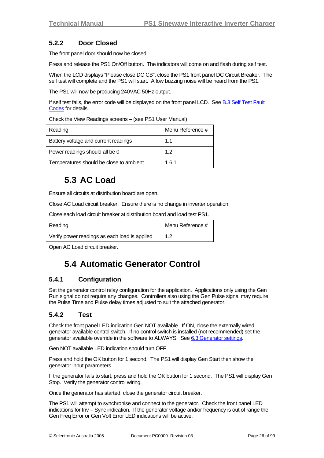### <span id="page-25-0"></span>**5.2.2 Door Closed**

The front panel door should now be closed.

Press and release the PS1 On/Off button. The indicators will come on and flash during self test.

When the LCD displays "Please close DC CB", close the PS1 front panel DC Circuit Breaker. The self test will complete and the PS1 will start. A low buzzing noise will be heard from the PS1.

The PS1 will now be producing 240VAC 50Hz output.

If self test fails, the error code will be displayed on the front panel LCD. See [B.3](#page-97-1) [Self Test Fault](#page-97-1) [Codes](#page-97-1) for details.

Check the View Readings screens – (see PS1 User Manual)

| Reading                                 | Menu Reference # |
|-----------------------------------------|------------------|
| Battery voltage and current readings    | 1.1              |
| Power readings should all be 0          | 12               |
| Temperatures should be close to ambient | 1.6.1            |

## **5.3 AC Load**

Ensure all circuits at distribution board are open.

Close AC Load circuit breaker. Ensure there is no change in inverter operation.

Close each load circuit breaker at distribution board and load test PS1.

| Reading                                       | Menu Reference # |
|-----------------------------------------------|------------------|
| Verify power readings as each load is applied | 1.2              |

Open AC Load circuit breaker.

### **5.4 Automatic Generator Control**

### **5.4.1 Configuration**

Set the generator control relay configuration for the application. Applications only using the Gen Run signal do not require any changes. Controllers also using the Gen Pulse signal may require the Pulse Time and Pulse delay times adjusted to suit the attached generator.

### **5.4.2 Test**

Check the front panel LED indication Gen NOT available. If ON, close the externally wired generator available control switch. If no control switch is installed (not recommended) set the generator available override in the software to ALWAYS. See [6.3](#page-37-1) [Generator settings](#page-37-1).

Gen NOT available LED indication should turn OFF.

Press and hold the OK button for 1 second. The PS1 will display Gen Start then show the generator input parameters.

If the generator fails to start, press and hold the OK button for 1 second. The PS1 will display Gen Stop. Verify the generator control wiring.

Once the generator has started, close the generator circuit breaker.

The PS1 will attempt to synchronise and connect to the generator. Check the front panel LED indications for Inv – Sync indication. If the generator voltage and/or frequency is out of range the Gen Freq Error or Gen Volt Error LED indications will be active.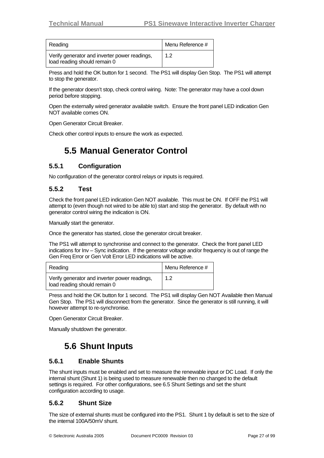<span id="page-26-0"></span>

| Reading                                                                       | Menu Reference # |
|-------------------------------------------------------------------------------|------------------|
| Verify generator and inverter power readings,<br>load reading should remain 0 | 1.2              |

Press and hold the OK button for 1 second. The PS1 will display Gen Stop. The PS1 will attempt to stop the generator.

If the generator doesn't stop, check control wiring. Note: The generator may have a cool down period before stopping.

Open the externally wired generator available switch. Ensure the front panel LED indication Gen NOT available comes ON.

Open Generator Circuit Breaker.

Check other control inputs to ensure the work as expected.

## **5.5 Manual Generator Control**

### **5.5.1 Configuration**

No configuration of the generator control relays or inputs is required.

#### **5.5.2 Test**

Check the front panel LED indication Gen NOT available. This must be ON. If OFF the PS1 will attempt to (even though not wired to be able to) start and stop the generator. By default with no generator control wiring the indication is ON.

Manually start the generator.

Once the generator has started, close the generator circuit breaker.

The PS1 will attempt to synchronise and connect to the generator. Check the front panel LED indications for Inv – Sync indication. If the generator voltage and/or frequency is out of range the Gen Freq Error or Gen Volt Error LED indications will be active.

| Reading                                                                       | Menu Reference # |
|-------------------------------------------------------------------------------|------------------|
| Verify generator and inverter power readings,<br>load reading should remain 0 | -1.2             |

Press and hold the OK button for 1 second. The PS1 will display Gen NOT Available then Manual Gen Stop. The PS1 will disconnect from the generator. Since the generator is still running, it will however attempt to re-synchronise.

Open Generator Circuit Breaker.

Manually shutdown the generator.

## **5.6 Shunt Inputs**

#### **5.6.1 Enable Shunts**

The shunt inputs must be enabled and set to measure the renewable input or DC Load. If only the internal shunt (Shunt 1) is being used to measure renewable then no changed to the default settings is required. For other configurations, see [6.5](#page-48-1) [Shunt Settings](#page-48-1) and set the shunt configuration according to usage.

#### **5.6.2 Shunt Size**

The size of external shunts must be configured into the PS1. Shunt 1 by default is set to the size of the internal 100A/50mV shunt.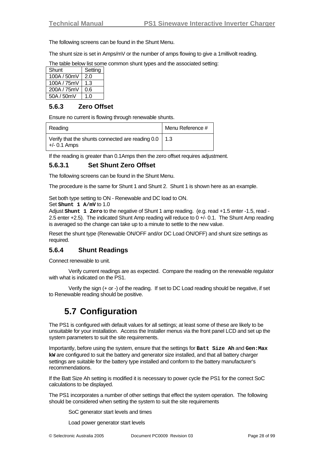<span id="page-27-0"></span>The following screens can be found in the Shunt Menu.

The shunt size is set in Amps/mV or the number of amps flowing to give a 1millivolt reading.

The table below list some common shunt types and the associated setting:

| Shunt       | Setting |
|-------------|---------|
| 100A / 50mV | 2.0     |
| 100A / 75mV | 1.3     |
| 200A / 75mV | 0.6     |
| 50A / 50mV  | 1 በ     |

#### **5.6.3 Zero Offset**

Ensure no current is flowing through renewable shunts.

| Reading                                                                       | Menu Reference # |
|-------------------------------------------------------------------------------|------------------|
| Verify that the shunts connected are reading $0.0 \mid 1.3$<br>$+/- 0.1$ Amps |                  |

If the reading is greater than 0.1Amps then the zero offset requires adjustment.

#### **5.6.3.1 Set Shunt Zero Offset**

The following screens can be found in the Shunt Menu.

The procedure is the same for Shunt 1 and Shunt 2. Shunt 1 is shown here as an example.

Set both type setting to ON - Renewable and DC load to ON. Set **Shunt 1 A/mV** to 1.0

Adjust **Shunt 1 Zero** to the negative of Shunt 1 amp reading. (e.g. read +1.5 enter -1.5, read - 2.5 enter +2.5). The indicated Shunt Amp reading will reduce to 0 +/- 0.1. The Shunt Amp reading is averaged so the change can take up to a minute to settle to the new value.

Reset the shunt type (Renewable ON/OFF and/or DC Load ON/OFF) and shunt size settings as required.

#### **5.6.4 Shunt Readings**

Connect renewable to unit.

 Verify current readings are as expected. Compare the reading on the renewable regulator with what is indicated on the PS1.

 Verify the sign (+ or -) of the reading. If set to DC Load reading should be negative, if set to Renewable reading should be positive.

### **5.7 Configuration**

The PS1 is configured with default values for all settings; at least some of these are likely to be unsuitable for your installation. Access the Installer menus via the front panel LCD and set up the system parameters to suit the site requirements.

Importantly, before using the system, ensure that the settings for **Batt Size Ah** and **Gen:Max kW** are configured to suit the battery and generator size installed, and that all battery charger settings are suitable for the battery type installed and conform to the battery manufacturer's recommendations.

If the Batt Size Ah setting is modified it is necessary to power cycle the PS1 for the correct SoC calculations to be displayed.

The PS1 incorporates a number of other settings that effect the system operation. The following should be considered when setting the system to suit the site requirements

SoC generator start levels and times

Load power generator start levels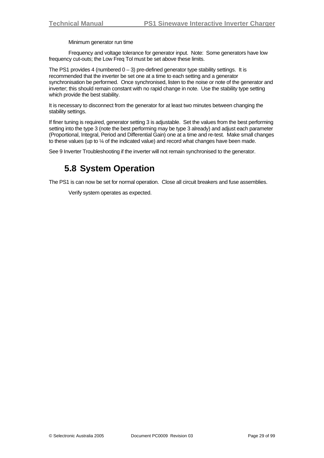Minimum generator run time

<span id="page-28-0"></span> Frequency and voltage tolerance for generator input. Note: Some generators have low frequency cut-outs; the Low Freq Tol must be set above these limits.

The PS1 provides 4 (numbered  $0 - 3$ ) pre-defined generator type stability settings. It is recommended that the inverter be set one at a time to each setting and a generator synchronisation be performed. Once synchronised, listen to the noise or note of the generator and inverter; this should remain constant with no rapid change in note. Use the stability type setting which provide the best stability.

It is necessary to disconnect from the generator for at least two minutes between changing the stability settings.

If finer tuning is required, generator setting 3 is adjustable. Set the values from the best performing setting into the type 3 (note the best performing may be type 3 already) and adjust each parameter (Proportional, Integral, Period and Differential Gain) one at a time and re-test. Make small changes to these values (up to ¼ of the indicated value) and record what changes have been made.

See [9](#page-78-1) [Inverter Troubleshooting](#page-78-1) if the inverter will not remain synchronised to the generator.

## **5.8 System Operation**

The PS1 is can now be set for normal operation. Close all circuit breakers and fuse assemblies.

Verify system operates as expected.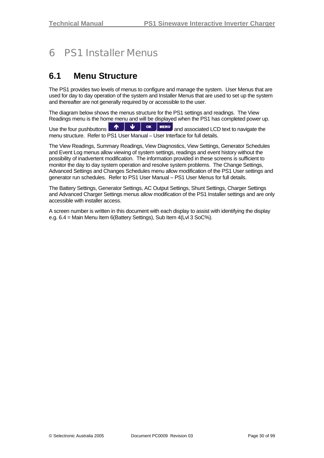## <span id="page-29-0"></span>6 PS1 Installer Menus

### **6.1 Menu Structure**

The PS1 provides two levels of menus to configure and manage the system. User Menus that are used for day to day operation of the system and Installer Menus that are used to set up the system and thereafter are not generally required by or accessible to the user.

The diagram below shows the menus structure for the PS1 settings and readings. The View Readings menu is the home menu and will be displayed when the PS1 has completed power up.

Use the four pushbuttons  $\begin{array}{|c|c|c|c|c|}\hline \textbf{A} & \textbf{U} & \textbf{ok} & \textbf{MENU} \hline \end{array}$  and associated LCD text to navigate the menu structure. Refer to PS1 User Manual – User Interface for full details.

The View Readings, Summary Readings, View Diagnostics, View Settings, Generator Schedules and Event Log menus allow viewing of system settings, readings and event history without the possibility of inadvertent modification. The information provided in these screens is sufficient to monitor the day to day system operation and resolve system problems. The Change Settings, Advanced Settings and Changes Schedules menu allow modification of the PS1 User settings and generator run schedules. Refer to PS1 User Manual – PS1 User Menus for full details.

The Battery Settings, Generator Settings, AC Output Settings, Shunt Settings, Charger Settings and Advanced Charger Settings menus allow modification of the PS1 Installer settings and are only accessible with installer access.

A screen number is written in this document with each display to assist with identifying the display e.g. 6.4 = Main Menu Item 6(Battery Settings), Sub Item 4(Lvl 3 SoC%).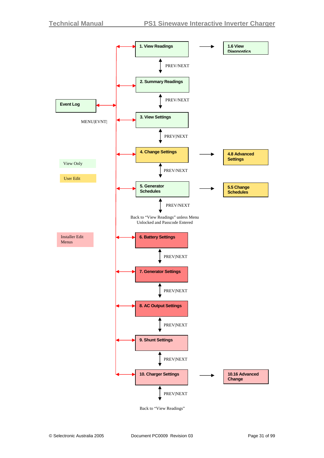

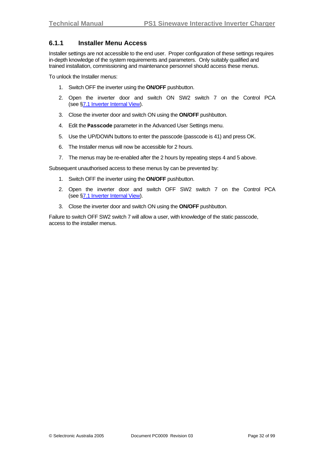### <span id="page-31-0"></span>**6.1.1 Installer Menu Access**

Installer settings are not accessible to the end user. Proper configuration of these settings requires in-depth knowledge of the system requirements and parameters. Only suitably qualified and trained installation, commissioning and maintenance personnel should access these menus.

To unlock the Installer menus:

- 1. Switch OFF the inverter using the **ON/OFF** pushbutton.
- 2. Open the inverter door and switch ON SW2 switch 7 on the Control PCA (see [§7.1](#page-60-1) [Inverter Internal View\)](#page-60-1).
- 3. Close the inverter door and switch ON using the **ON/OFF** pushbutton.
- 4. Edit the **Passcode** parameter in the Advanced User Settings menu.
- 5. Use the UP/DOWN buttons to enter the passcode (passcode is 41) and press OK.
- 6. The Installer menus will now be accessible for 2 hours.
- 7. The menus may be re-enabled after the 2 hours by repeating steps 4 and 5 above.

Subsequent unauthorised access to these menus by can be prevented by:

- 1. Switch OFF the inverter using the **ON/OFF** pushbutton.
- 2. Open the inverter door and switch OFF SW2 switch 7 on the Control PCA (see [§7.1](#page-60-1) [Inverter Internal View\)](#page-60-1).
- 3. Close the inverter door and switch ON using the **ON/OFF** pushbutton.

Failure to switch OFF SW2 switch 7 will allow a user, with knowledge of the static passcode, access to the installer menus.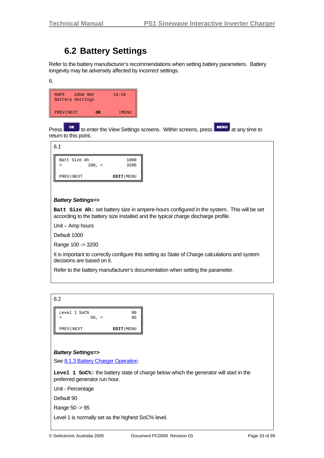### **6.2 Battery Settings**

<span id="page-32-0"></span>Refer to the battery manufacturer's recommendations when setting battery parameters. Battery longevity may be adversely affected by incorrect settings.

| ۰.<br>۰.          |    |  |
|-------------------|----|--|
| t<br>×<br>×<br>۰. | ۰, |  |

| 10 <sub>kW</sub> 48V<br>RAPS<br><b>Battery Settings</b> |    | 16:59 |
|---------------------------------------------------------|----|-------|
| PREV NEXT                                               | OК | MENU  |

Press **or** to enter the View Settings screens. Within screens, press **MENU** at any time to return to this point.

| 6.1                    |        |              |
|------------------------|--------|--------------|
| Batt Size Ah<br>$\geq$ | 100, < | 1000<br>3200 |
| PREV NEXT              |        | EDIT   MENU  |

#### *Battery Settings=>*

**Batt Size Ah:** set battery size in ampere-hours configured in the system. This will be set according to the battery size installed and the typical charge discharge profile.

Unit – Amp hours

Default 1000

Range 100 -> 3200

It is important to correctly configure this setting as State of Charge calculations and system decisions are based on it.

Refer to the battery manufacturer's documentation when setting the parameter.

| 6.2                             |             |
|---------------------------------|-------------|
| Level 1 SoC%<br>50, <<br>$\geq$ | 90<br>95    |
| PREV NEXT                       | EDIT   MENU |

#### *Battery Settings=>*

See [8.1.3](#page-66-1) [Battery Charger Operation.](#page-66-1)

**Level 1 SoC%:** the battery state of charge below which the generator will start in the preferred generator run hour.

Unit - Percentage

Default 90

Range 50 -> 95

Level 1 is normally set as the highest SoC% level.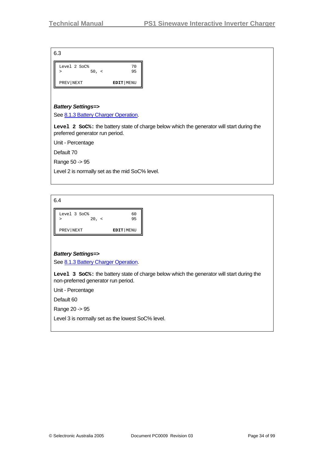6.3

| Level 2 SoC%<br>50, <<br>⋗ | 70<br>95  |
|----------------------------|-----------|
| PREV NEXT                  | EDIT MENU |

#### *Battery Settings=>*

See [8.1.3](#page-66-1) [Battery Charger Operation.](#page-66-1)

**Level 2 SoC%:** the battery state of charge below which the generator will start during the preferred generator run period.

Unit - Percentage

Default 70

Range 50 -> 95

Level 2 is normally set as the mid SoC% level.

6.4

| Level 3 SoC% | 60          |
|--------------|-------------|
| 20. <        | 95          |
| PREV NEXT    | EDIT   MENU |

### *Battery Settings=>*

See [8.1.3](#page-66-1) [Battery Charger Operation.](#page-66-1)

**Level 3 SoC%:** the battery state of charge below which the generator will start during the non-preferred generator run period.

Unit - Percentage

Default 60

Range 20 -> 95

Level 3 is normally set as the lowest SoC% level.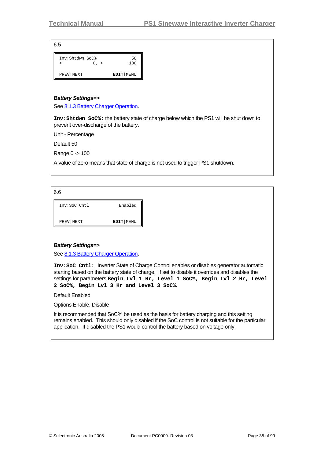6.5

| Inv:Shtdwn SoC% | 50          |
|-----------------|-------------|
| $0, \leq$<br>>  | 100         |
|                 |             |
| PREV NEXT       | EDIT   MENU |

#### *Battery Settings=>*

See [8.1.3](#page-66-1) [Battery Charger Operation.](#page-66-1)

**Inv:Shtdwn SoC%:** the battery state of charge below which the PS1 will be shut down to prevent over-discharge of the battery.

Unit - Percentage

Default 50

Range 0 -> 100

A value of zero means that state of charge is not used to trigger PS1 shutdown.

6.6

| Inv:SoC Cntl | Enabled   |
|--------------|-----------|
| PREV NEXT    | EDIT MENU |

#### *Battery Settings=>*

See [8.1.3](#page-66-1) [Battery Charger Operation.](#page-66-1)

**Inv:SoC Cntl:** Inverter State of Charge Control enables or disables generator automatic starting based on the battery state of charge. If set to disable it overrides and disables the settings for parameters **Begin Lvl 1 Hr, Level 1 SoC%, Begin Lvl 2 Hr, Level 2 SoC%, Begin Lvl 3 Hr and Level 3 SoC%.** 

Default Enabled

Options Enable, Disable

It is recommended that SoC% be used as the basis for battery charging and this setting remains enabled. This should only disabled if the SoC control is not suitable for the particular application. If disabled the PS1 would control the battery based on voltage only.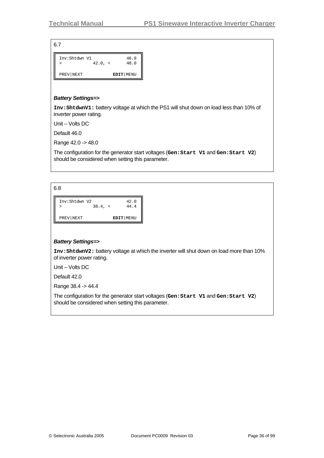6.7

| Inv:Shtdwn V1<br>> | $42.0, \times$ | 46.0<br>48.0 |
|--------------------|----------------|--------------|
| PREV NEXT          |                | EDIT   MENU  |

#### *Battery Settings=>*

**Inv:ShtdwnV1:** battery voltage at which the PS1 will shut down on load less than 10% of inverter power rating.

Unit – Volts DC

Default 46.0

Range 42.0 -> 48.0

The configuration for the generator start voltages (**Gen:Start V1** and **Gen:Start V2**) should be considered when setting this parameter.

6.8

| Inv:Shtdwn V2 | $38.4, \le$ | 42.0<br>44.4 |
|---------------|-------------|--------------|
| PREV NEXT     |             | EDIT   MENU  |

#### *Battery Settings=>*

**Inv:ShtdwnV2:** battery voltage at which the inverter will shut down on load more than 10% of inverter power rating.

Unit – Volts DC

Default 42.0

Range 38.4 -> 44.4

The configuration for the generator start voltages (**Gen:Start V1** and **Gen:Start V2**) should be considered when setting this parameter.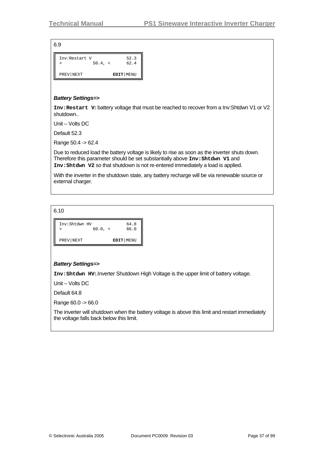| Inv:Restart V | 50.4, < | 52.3<br>62.4 |
|---------------|---------|--------------|
| PREV NEXT     |         | EDIT   MENU  |

### *Battery Settings=>*

**Inv:Restart V:** battery voltage that must be reached to recover from a Inv:Shtdwn V1 or V2 shutdown..

Unit – Volts DC

Default 52.3

Range 50.4 -> 62.4

Due to reduced load the battery voltage is likely to rise as soon as the inverter shuts down. Therefore this parameter should be set substantially above **Inv:Shtdwn V1** and **Inv:Shtdwn V2** so that shutdown is not re-entered immediately a load is applied.

With the inverter in the shutdown state, any battery recharge will be via renewable source or external charger.

6.10

| Inv:Shtdwn HV | $60.0, \le$ | 64.8<br>66.0 |
|---------------|-------------|--------------|
| PREV NEXT     |             | EDIT   MENU  |

## *Battery Settings=>*

**Inv:Shtdwn HV:**.Inverter Shutdown High Voltage is the upper limit of battery voltage.

Unit – Volts DC

Default 64.8

Range 60.0 -> 66.0

The inverter will shutdown when the battery voltage is above this limit and restart immediately the voltage falls back below this limit.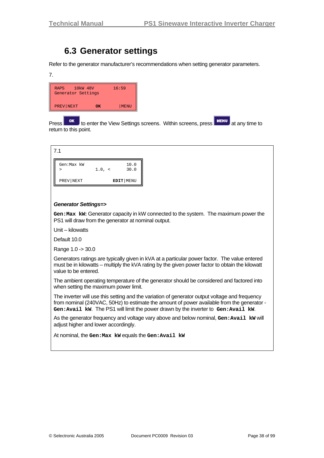# **6.3 Generator settings**

Refer to the generator manufacturer's recommendations when setting generator parameters.

7.



Press **OK** to enter the View Settings screens. Within screens, press **AT MENU** at any time to return to this point.

| 7.1                  |        |              |
|----------------------|--------|--------------|
| Gen:Max kW<br>$\geq$ | 1.0, < | 10.0<br>30.0 |
| PREV   NEXT          |        | EDIT   MENU  |

### *Generator Settings=>*

**Gen:Max kW:** Generator capacity in kW connected to the system. The maximum power the PS1 will draw from the generator at nominal output.

Unit – kilowatts

Default 10.0

Range 1.0 -> 30.0

Generators ratings are typically given in kVA at a particular power factor. The value entered must be in kilowatts – multiply the kVA rating by the given power factor to obtain the kilowatt value to be entered.

The ambient operating temperature of the generator should be considered and factored into when setting the maximum power limit.

The inverter will use this setting and the variation of generator output voltage and frequency from nominal (240VAC, 50Hz) to estimate the amount of power available from the generator - **Gen:Avail kW**. The PS1 will limit the power drawn by the inverter to **Gen:Avail kW**.

As the generator frequency and voltage vary above and below nominal, Gen: Avail kw will adjust higher and lower accordingly.

At nominal, the **Gen:Max kW** equals the **Gen:Avail kW**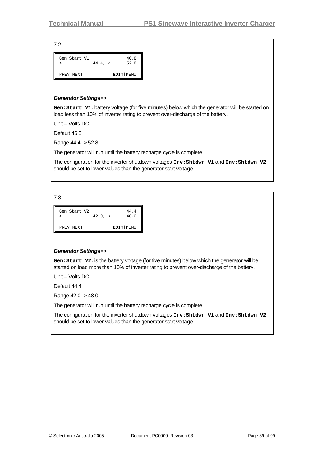7.2 PREV|NEXT **EDIT**|MENU Gen: Start V1 46.8 > 44.4, < 52.8

#### *Generator Settings=>*

Gen: Start V1: battery voltage (for five minutes) below which the generator will be started on load less than 10% of inverter rating to prevent over-discharge of the battery.

Unit – Volts DC

Default 46.8

Range 44.4 -> 52.8

The generator will run until the battery recharge cycle is complete.

The configuration for the inverter shutdown voltages **Inv:Shtdwn V1** and **Inv:Shtdwn V2** should be set to lower values than the generator start voltage.

7.3

| Gen:Start V2 | $42.0, \times$ | 44.4<br>48.0 |
|--------------|----------------|--------------|
| PREV NEXT    |                | EDIT   MENU  |

#### *Generator Settings=>*

Gen: Start V2: is the battery voltage (for five minutes) below which the generator will be started on load more than 10% of inverter rating to prevent over-discharge of the battery.

Unit – Volts DC

Default 44.4

Range 42.0 -> 48.0

The generator will run until the battery recharge cycle is complete.

The configuration for the inverter shutdown voltages **Inv:Shtdwn V1** and **Inv:Shtdwn V2** should be set to lower values than the generator start voltage.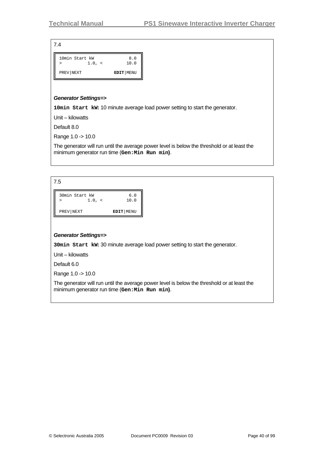| 10min Start kW<br>1.0, <<br>⋗ | 8.0<br>10.0 |
|-------------------------------|-------------|
| PREV NEXT                     | EDIT   MENU |

#### *Generator Settings=>*

**10min Start kW:** 10 minute average load power setting to start the generator.

Unit – kilowatts

Default 8.0

Range 1.0 -> 10.0

The generator will run until the average power level is below the threshold or at least the minimum generator run time (**Gen:Min Run min)**.

| 7.5                           |             |
|-------------------------------|-------------|
| 30min Start kW<br>1.0, <<br>⋗ | 6.0<br>10.0 |
| PREV NEXT                     | EDIT   MENU |

#### *Generator Settings=>*

**30min Start kW:** 30 minute average load power setting to start the generator.

Unit – kilowatts

Default 6.0

Range 1.0 -> 10.0

The generator will run until the average power level is below the threshold or at least the minimum generator run time (**Gen:Min Run min)**.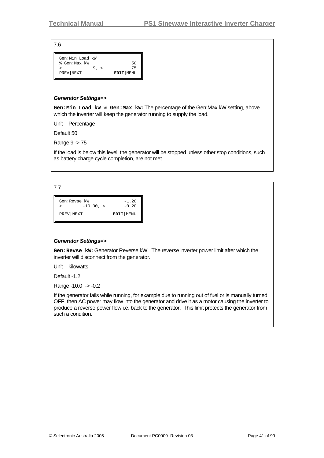| Gen:Min Load kW |          |             |
|-----------------|----------|-------------|
| % Gen:Max kW    |          | 50          |
| ↘               | $9, \le$ | 75          |
| PREV NEXT       |          | EDIT   MENU |
|                 |          |             |

#### *Generator Settings=>*

**Gen:Min Load kW % Gen:Max kW:** The percentage of the Gen:Max kW setting, above which the inverter will keep the generator running to supply the load.

Unit – Percentage

Default 50

Range 9 -> 75

If the load is below this level, the generator will be stopped unless other stop conditions, such as battery charge cycle completion, are not met

7.7

| Gen:Revse kW<br>$-10.00$ , $\lt$ | $-1.20$<br>$-0.20$ |
|----------------------------------|--------------------|
| PREV   NEXT                      | EDIT   MENU        |

#### *Generator Settings=>*

**Gen:Revse kW:** Generator Reverse kW. The reverse inverter power limit after which the inverter will disconnect from the generator.

Unit – kilowatts

Default -1.2

Range -10.0 -> -0.2

If the generator fails while running, for example due to running out of fuel or is manually turned OFF, then AC power may flow into the generator and drive it as a motor causing the inverter to produce a reverse power flow i.e. back to the generator. This limit protects the generator from such a condition.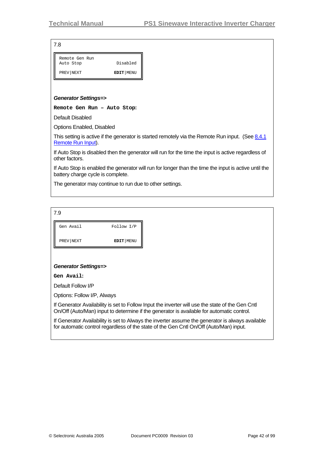| Remote Gen Run<br>Auto Stop | Disabled  |
|-----------------------------|-----------|
| PREV NEXT                   | EDIT MENU |

#### *Generator Settings=>*

**Remote Gen Run – Auto Stop:**

Default Disabled

Options Enabled, Disabled

This setting is active if the generator is started remotely via the Remote Run input. (See  $8.4.1$ [Remote Run Input\)](#page-74-0).

If Auto Stop is disabled then the generator will run for the time the input is active regardless of other factors.

If Auto Stop is enabled the generator will run for longer than the time the input is active until the battery charge cycle is complete.

The generator may continue to run due to other settings.

| 7.9       |             |
|-----------|-------------|
| Gen Avail | Follow I/P  |
| PREV NEXT | EDIT   MENU |

#### *Generator Settings=>*

**Gen Avail:** 

Default Follow I/P

Options: Follow I/P, Always

If Generator Availability is set to Follow Input the inverter will use the state of the Gen Cntl On/Off (Auto/Man) input to determine if the generator is available for automatic control.

If Generator Availability is set to Always the inverter assume the generator is always available for automatic control regardless of the state of the Gen Cntl On/Off (Auto/Man) input.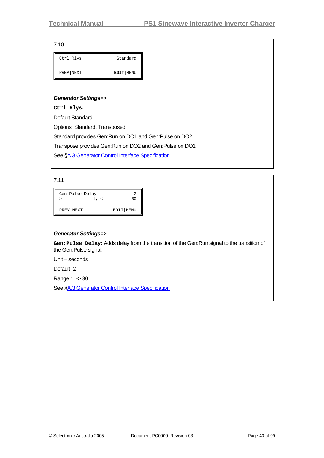|  | ۰. |
|--|----|

| Ctrl Rlys | Standard  |
|-----------|-----------|
| PREV NEXT | EDIT MENU |

#### *Generator Settings=>*

**Ctrl Rlys:**

Default Standard

Options Standard, Transposed

Standard provides Gen:Run on DO1 and Gen:Pulse on DO2

Transpose provides Gen:Run on DO2 and Gen:Pulse on DO1

See §[A.3](#page-86-0) [Generator Control Interface Specification](#page-86-0)

7.11

| Gen:Pulse Delay | 30          |
|-----------------|-------------|
| PREV NEXT       | EDIT   MENU |

#### *Generator Settings=>*

**Gen:Pulse Delay:** Adds delay from the transition of the Gen:Run signal to the transition of the Gen:Pulse signal.

Unit – seconds

Default -2

Range 1 -> 30

See §[A.3](#page-86-0) [Generator Control Interface Specification](#page-86-0)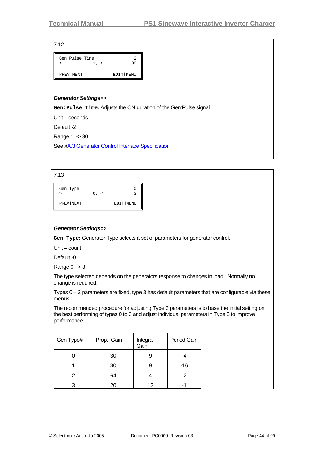| Gen:Pulse Time |             |
|----------------|-------------|
|                | っい          |
| PREV NEXT      | EDIT   MENU |

#### *Generator Settings=>*

**Gen:Pulse Time:** Adjusts the ON duration of the Gen:Pulse signal.

Unit – seconds

Default -2

Range 1 -> 30

See §[A.3](#page-86-0) [Generator Control Interface Specification](#page-86-0)

| Gen Type  |              |           |
|-----------|--------------|-----------|
|           | 0<br>$\prec$ |           |
| PREV NEXT |              | EDIT MENU |

#### *Generator Settings=>*

**Gen Type:** Generator Type selects a set of parameters for generator control.

Unit – count

Default -0

Range  $0 \rightarrow 3$ 

The type selected depends on the generators response to changes in load. Normally no change is required.

Types  $0 - 2$  parameters are fixed, type 3 has default parameters that are configurable via these menus.

The recommended procedure for adjusting Type 3 parameters is to base the initial setting on the best performing of types 0 to 3 and adjust individual parameters in Type 3 to improve performance.

| Gen Type# | Prop. Gain | Integral<br>Gain | Period Gain |
|-----------|------------|------------------|-------------|
|           | 30         |                  |             |
|           | 30         |                  | -16         |
|           | 64         |                  | -2          |
|           | 20         | 12               |             |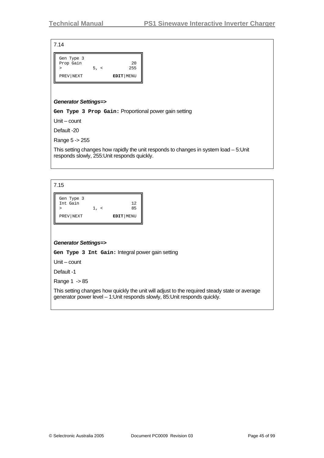| Gen Type 3<br>Prop Gain | 5, < | 20<br>255   |
|-------------------------|------|-------------|
| PREV NEXT               |      | EDIT   MENU |

#### *Generator Settings=>*

**Gen Type 3 Prop Gain:** Proportional power gain setting

Unit – count

Default -20

Range 5 -> 255

This setting changes how rapidly the unit responds to changes in system load – 5:Unit responds slowly, 255:Unit responds quickly.

7.15

| Gen Type 3<br>Int Gain | $1, \le$ | 12<br>85    |
|------------------------|----------|-------------|
| PREV NEXT              |          | EDIT   MENU |

#### *Generator Settings=>*

**Gen Type 3 Int Gain:** Integral power gain setting

Unit – count

Default -1

Range 1 -> 85

This setting changes how quickly the unit will adjust to the required steady state or average generator power level – 1:Unit responds slowly, 85:Unit responds quickly.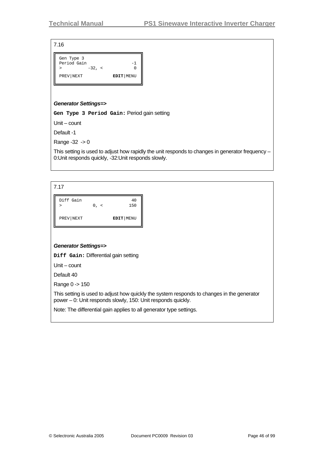| Gen Type 3<br>Period Gain<br>$-32, <$ |             |
|---------------------------------------|-------------|
| PREV NEXT                             | EDIT   MENU |

#### *Generator Settings=>*

**Gen Type 3 Period Gain:** Period gain setting

Unit – count

Default -1

Range -32 -> 0

This setting is used to adjust how rapidly the unit responds to changes in generator frequency – 0:Unit responds quickly, -32:Unit responds slowly.

7.17

| Diff Gain |           | 40          |
|-----------|-----------|-------------|
|           | $0, \leq$ | 150         |
| PREV NEXT |           | EDIT   MENU |

#### *Generator Settings=>*

**Diff Gain:** Differential gain setting

Unit – count

Default 40

Range 0 -> 150

This setting is used to adjust how quickly the system responds to changes in the generator power – 0: Unit responds slowly, 150: Unit responds quickly.

Note: The differential gain applies to all generator type settings.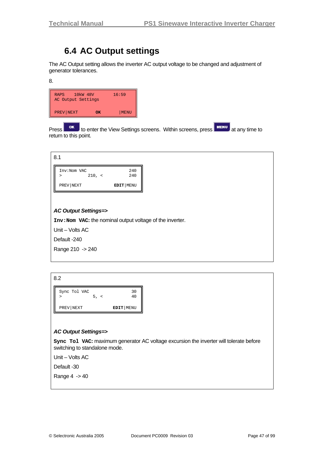# **6.4 AC Output settings**

The AC Output setting allows the inverter AC output voltage to be changed and adjustment of generator tolerances.

8.

| <b>RAPS</b><br>AC Output Settings | 10 <sub>kW</sub> 48V | 16:59 |
|-----------------------------------|----------------------|-------|
| PREV NEXT                         | OK                   | MENU  |

Press **TOK** to enter the View Settings screens. Within screens, press **MENU** at any time to return to this point.

| 8.1                                                       |        |               |
|-----------------------------------------------------------|--------|---------------|
| Inv:Nom VAC<br>$\geq$                                     | 210, < | 240<br>240    |
| PREV NEXT                                                 |        | $EDIT$   MENU |
|                                                           |        |               |
| <b>AC Output Settings=&gt;</b>                            |        |               |
|                                                           |        |               |
| Inv: Nom VAC: the nominal output voltage of the inverter. |        |               |
| Unit - Volts AC                                           |        |               |
| Default-240                                               |        |               |
| Range 210 -> 240                                          |        |               |

| Sync Tol VAC | 30          |
|--------------|-------------|
| 5, <         | 40          |
| PREV NEXT    | EDIT   MENU |

#### *AC Output Settings=>*

**Sync Tol VAC:** maximum generator AC voltage excursion the inverter will tolerate before switching to standalone mode.

Unit – Volts AC

Default -30

Range 4 -> 40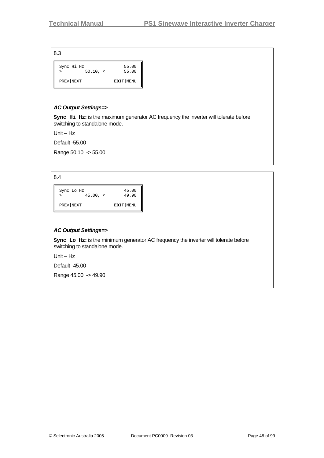| Sync Hi Hz<br>$50.10, \le$<br>> | 55.00<br>55.00 |
|---------------------------------|----------------|
| PREV NEXT                       | EDIT   MENU    |

### *AC Output Settings=>*

**Sync Hi Hz:** is the maximum generator AC frequency the inverter will tolerate before switching to standalone mode.

Unit – Hz

Default -55.00

Range 50.10 -> 55.00

8.4

Sync Lo Hz 45.00 > 45.00, < 49.90 PREV|NEXT **EDIT**|MENU

### *AC Output Settings=>*

**Sync Lo Hz:** is the minimum generator AC frequency the inverter will tolerate before switching to standalone mode.

Unit – Hz

Default -45.00

Range 45.00 -> 49.90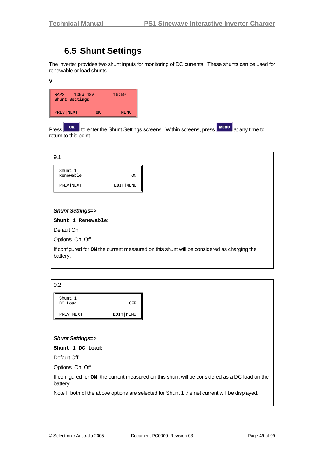# **6.5 Shunt Settings**

The inverter provides two shunt inputs for monitoring of DC currents. These shunts can be used for renewable or load shunts.

9

| 10kW 48V<br><b>RAPS</b><br>Shunt Settings |    | 16:59 |
|-------------------------------------------|----|-------|
| PREV NEXT                                 | OK | MENU  |

Press **KEY** to enter the Shunt Settings screens. Within screens, press **KENU** at any time to return to this point.

| 9.1                        |                                                                                            |
|----------------------------|--------------------------------------------------------------------------------------------|
| Shunt 1<br>Renewable       | ON                                                                                         |
| PREV NEXT                  | EDIT   MENU                                                                                |
|                            |                                                                                            |
| <b>Shunt Settings=&gt;</b> |                                                                                            |
| Shunt 1 Renewable:         |                                                                                            |
| Default On                 |                                                                                            |
| Options On, Off            |                                                                                            |
| battery.                   | If configured for on the current measured on this shunt will be considered as charging the |

| 9.2                                                                                                        |     |  |
|------------------------------------------------------------------------------------------------------------|-----|--|
| Shunt 1<br>DC Load                                                                                         | OFF |  |
| PREV NEXT<br>EDIT   MENU                                                                                   |     |  |
|                                                                                                            |     |  |
| <b>Shunt Settings=&gt;</b>                                                                                 |     |  |
| Shunt 1 DC Load:                                                                                           |     |  |
| Default Off                                                                                                |     |  |
| Options On, Off                                                                                            |     |  |
| If configured for on the current measured on this shunt will be considered as a DC load on the<br>battery. |     |  |
| Note If both of the above options are selected for Shunt 1 the net current will be displayed.              |     |  |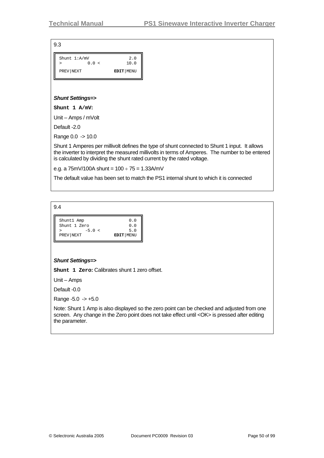| Shunt $1: A/mV$ |       | 2.0       |
|-----------------|-------|-----------|
|                 | 0.0 < | 10.0      |
| PREV NEXT       |       | EDIT MENU |

#### *Shunt Settings=>*

**Shunt 1 A/mV:**

Unit – Amps / mVolt

Default -2.0

Range 0.0 -> 10.0

Shunt 1 Amperes per millivolt defines the type of shunt connected to Shunt 1 input. It allows the inverter to interpret the measured millivolts in terms of Amperes. The number to be entered is calculated by dividing the shunt rated current by the rated voltage.

e.g. a  $75mV/100A$  shunt =  $100 \div 75 = 1.33A/mV$ 

The default value has been set to match the PS1 internal shunt to which it is connected

9.4

| Shunt1 Amp<br>Shunt 1 Zero | 0.0<br>0.0  |
|----------------------------|-------------|
| $-5.0 <$                   | 5.0         |
| PREV NEXT                  | EDIT   MENU |

#### *Shunt Settings=>*

**Shunt 1 Zero:** Calibrates shunt 1 zero offset.

Unit – Amps

Default -0.0

Range  $-5.0 \rightarrow +5.0$ 

Note: Shunt 1 Amp is also displayed so the zero point can be checked and adjusted from one screen. Any change in the Zero point does not take effect until <OK> is pressed after editing the parameter.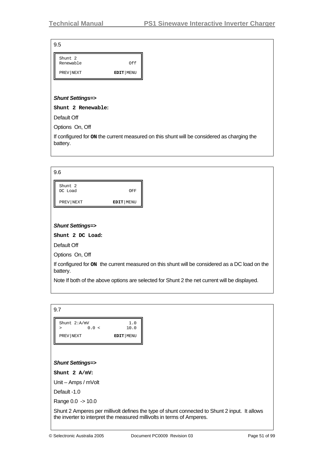| v<br>I<br>I<br>I<br>×<br>w<br>۰,<br>۰, |
|----------------------------------------|
|----------------------------------------|

| Shunt 2<br>Renewable | 0f f        |
|----------------------|-------------|
| PREV NEXT            | EDIT   MENU |

#### *Shunt Settings=>*

**Shunt 2 Renewable:**

Default Off

Options On, Off

If configured for **ON** the current measured on this shunt will be considered as charging the battery.

| 9.6                |             |
|--------------------|-------------|
| Shunt 2<br>DC Load | OFF         |
| PREV   NEXT        | EDIT   MENU |

### *Shunt Settings=>*

**Shunt 2 DC Load:** 

Default Off

Options On, Off

If configured for **ON** the current measured on this shunt will be considered as a DC load on the battery.

Note If both of the above options are selected for Shunt 2 the net current will be displayed.

| Shunt $2: A/mV$ | 0.0 < | 1.0<br>10.0 |
|-----------------|-------|-------------|
| PREV NEXT       |       | EDIT MENU   |

#### *Shunt Settings=>*

**Shunt 2 A/mV:**

Unit – Amps / mVolt

Default -1.0

Range 0.0 -> 10.0

Shunt 2 Amperes per millivolt defines the type of shunt connected to Shunt 2 input. It allows the inverter to interpret the measured millivolts in terms of Amperes.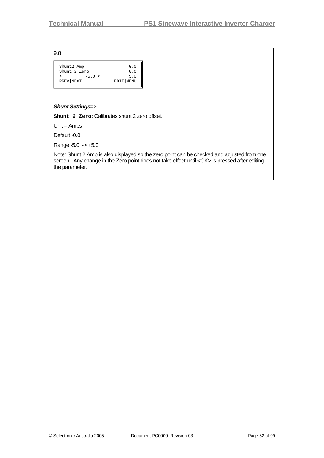| Shunt2 Amp   |          | 0.0         |
|--------------|----------|-------------|
| Shunt 2 Zero |          | 0.0         |
|              | $-5.0 <$ | 5.0         |
| PREV NEXT    |          | EDIT   MENU |
|              |          |             |

#### *Shunt Settings=>*

**Shunt 2 Zero:** Calibrates shunt 2 zero offset.

Unit – Amps

Default -0.0

Range  $-5.0 \rightarrow +5.0$ 

Note: Shunt 2 Amp is also displayed so the zero point can be checked and adjusted from one screen. Any change in the Zero point does not take effect until <OK> is pressed after editing the parameter.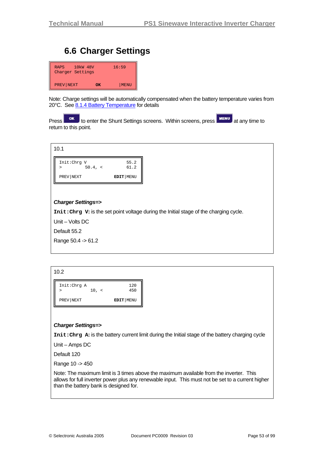# **6.6 Charger Settings**

| 10kW 48V<br><b>RAPS</b><br>Charger Settings |    | 16:59 |
|---------------------------------------------|----|-------|
| PREV NEXT                                   | OК | MENU  |

Note: Charge settings will be automatically compensated when the battery temperature varies from 20°C. See [8.1.4](#page-69-0) [Battery Temperature](#page-69-0) for details

Press **OK** to enter the Shunt Settings screens. Within screens, press **ALL THENU** at any time to return to this point.



## *Charger Settings=>*

**Init:Chrg V:** is the set point voltage during the Initial stage of the charging cycle.

Unit – Volts DC

Default 55.2

Range 50.4 -> 61.2

#### 10.2



#### *Charger Settings=>*

**Init:Chrg A:** is the battery current limit during the Initial stage of the battery charging cycle

Unit – Amps DC

Default 120

Range 10 -> 450

Note: The maximum limit is 3 times above the maximum available from the inverter. This allows for full inverter power plus any renewable input. This must not be set to a current higher than the battery bank is designed for.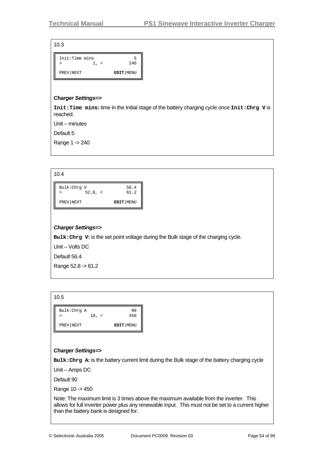| Init:Time mins |             |
|----------------|-------------|
| $\perp$ . <    | 240         |
| PREV NEXT      | EDIT   MENU |

#### *Charger Settings=>*

**Init:Time mins:** time in the Initial stage of the battery charging cycle once **Init:Chrg V** is reached.

Unit – minutes

Default 5

Range 1 -> 240

| Bulk:Chrq V |         | 56.4        |
|-------------|---------|-------------|
| >           | 52.8, < | 61.2        |
| PREV NEXT   |         | EDIT   MENU |

### *Charger Settings=>*

**Bulk:Chrg V:** is the set point voltage during the Bulk stage of the charging cycle.

Unit – Volts DC

Default 56.4

Range 52.8 -> 61.2

| Bulk: Chrg A | 10, < | 90<br>450   |
|--------------|-------|-------------|
| PREV NEXT    |       | EDIT   MENU |

## *Charger Settings=>*

**Bulk:Chrg A:** is the battery current limit during the Bulk stage of the battery charging cycle

Unit – Amps DC

Default 90

Range 10 -> 450

Note: The maximum limit is 3 times above the maximum available from the inverter. This allows for full inverter power plus any renewable input. This must not be set to a current higher than the battery bank is designed for.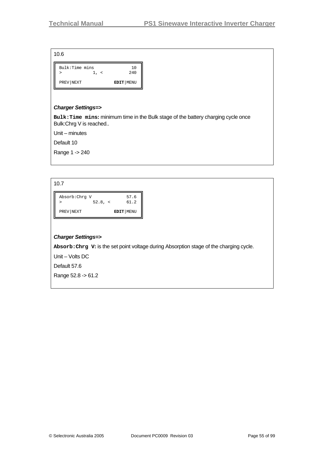| Bulk:Time mins | $\prec$ | 1 O<br>240  |
|----------------|---------|-------------|
| PREV NEXT      |         | EDIT   MENU |

#### *Charger Settings=>*

**Bulk:Time mins:** minimum time in the Bulk stage of the battery charging cycle once Bulk:Chrg V is reached..

Unit – minutes

Default 10

Range 1 -> 240

| ٧<br>I  |  |
|---------|--|
| ×<br>۰. |  |

| Absorb: Chrq V<br>$52.8, \le$ | 57.6<br>61.2 |
|-------------------------------|--------------|
| PREV NEXT                     | EDIT   MENU  |

#### *Charger Settings=>*

**Absorb:Chrg V:** is the set point voltage during Absorption stage of the charging cycle.

Unit – Volts DC

Default 57.6

Range 52.8 -> 61.2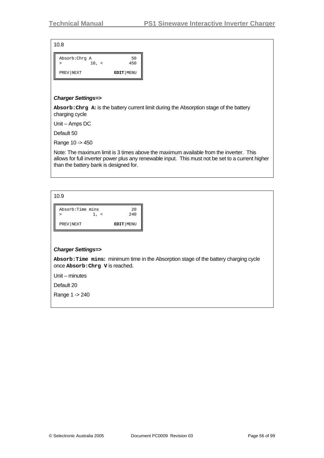| Absorb: Chrg A | 50          |
|----------------|-------------|
| 10, <          | 450         |
| PREV NEXT      | EDIT   MENU |

#### *Charger Settings=>*

**Absorb:Chrg A:** is the battery current limit during the Absorption stage of the battery charging cycle

Unit – Amps DC

Default 50

Range 10 -> 450

Note: The maximum limit is 3 times above the maximum available from the inverter. This allows for full inverter power plus any renewable input. This must not be set to a current higher than the battery bank is designed for.

10.9

| Absorb:Time mins | 20        |
|------------------|-----------|
| ⋗                | 240       |
| PREV NEXT        | EDIT MENU |

#### *Charger Settings=>*

**Absorb:Time mins:** minimum time in the Absorption stage of the battery charging cycle once **Absorb:Chrg V** is reached.

Unit – minutes

Default 20

Range 1 -> 240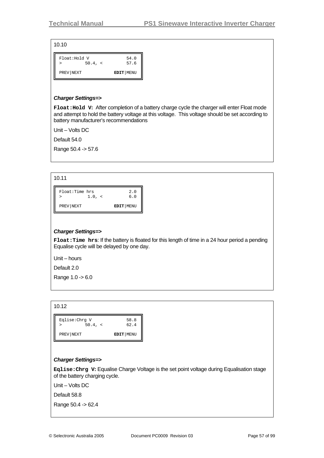| Float: Hold V |         | 54.0      |
|---------------|---------|-----------|
| >             | 50.4, < | 57.6      |
| PREV NEXT     |         | EDIT MENU |

#### *Charger Settings=>*

**Float:Hold V:** After completion of a battery charge cycle the charger will enter Float mode and attempt to hold the battery voltage at this voltage. This voltage should be set according to battery manufacturer's recommendations

Unit – Volts DC

Default 54.0

Range 50.4 -> 57.6

| ×<br>۰. |  |  |
|---------|--|--|

| Float:Time hrs | 2.0         |
|----------------|-------------|
| 1.0, <         | 6.0         |
| PREV NEXT      | EDIT   MENU |

#### *Charger Settings=>*

**Float:Time hrs**: If the battery is floated for this length of time in a 24 hour period a pending Equalise cycle will be delayed by one day.

Unit – hours

Default 2.0

Range 1.0 -> 6.0

#### 10.12

| Eqlise:Chrq V |         | 58.8      |
|---------------|---------|-----------|
|               | 50.4, < | 62.4      |
| PREV NEXT     |         | EDIT MENU |

#### *Charger Settings=>*

**Eqlise:Chrg V:** Equalise Charge Voltage is the set point voltage during Equalisation stage of the battery charging cycle.

Unit – Volts DC

Default 58.8

Range 50.4 -> 62.4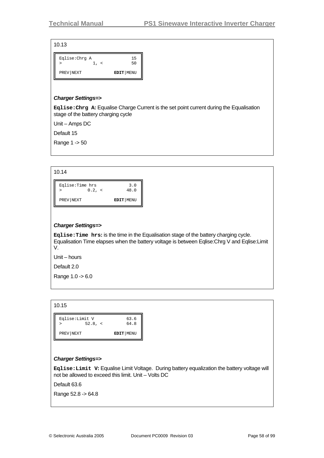| Eqlise:Chrq A | 15        |
|---------------|-----------|
| $\prec$       | 50        |
| PREV NEXT     | EDIT MENU |

### *Charger Settings=>*

**Eqlise:Chrg A:** Equalise Charge Current is the set point current during the Equalisation stage of the battery charging cycle

Unit – Amps DC

Default 15

Range 1 -> 50

| Eqlise:Time hrs<br>0.2, < | 3.0<br>48.0 |
|---------------------------|-------------|
| PREV NEXT                 | EDIT   MENU |

## *Charger Settings=>*

**Eqlise:Time hrs:** is the time in the Equalisation stage of the battery charging cycle. Equalisation Time elapses when the battery voltage is between Eqlise:Chrg V and Eqlise:Limit V.

Unit – hours

Default 2.0

Range 1.0 -> 6.0

#### 10.15

|           | Eqlise:Limit V | 63.6      |
|-----------|----------------|-----------|
|           | 52.8, <        | 64.8      |
| PREV NEXT |                | EDIT MENU |

## *Charger Settings=>*

**Eqlise:Limit V:** Equalise Limit Voltage. During battery equalization the battery voltage will not be allowed to exceed this limit. Unit – Volts DC

Default 63.6

Range 52.8 -> 64.8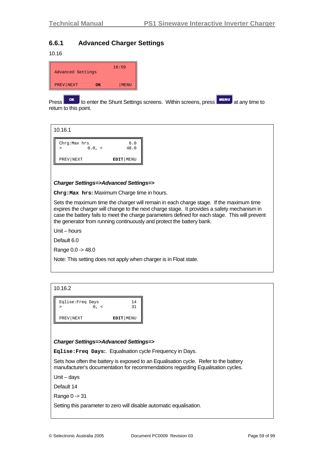# **6.6.1 Advanced Charger Settings**

10.16

| Advanced Settings |    | 16:59 |
|-------------------|----|-------|
| PREV NEXT         | OК | MENU  |

Press **ok** to enter the Shunt Settings screens. Within screens, press **FINENU** at any time to return to this point.

10.16.1

| Chrq:Max hrs | $0.0, \leq$ | 6.0<br>48.0 |
|--------------|-------------|-------------|
| PREV NEXT    |             | EDIT   MENU |

#### *Charger Settings=>Advanced Settings=>*

**Chrg:Max hrs:** Maximum Charge time in hours.

Sets the maximum time the charger will remain in each charge stage. If the maximum time expires the charger will change to the next charge stage. It provides a safety mechanism in case the battery fails to meet the charge parameters defined for each stage. This will prevent the generator from running continuously and protect the battery bank.

Unit – hours

Default 6.0

Range 0.0 -> 48.0

Note: This setting does not apply when charger is in Float state.

#### 10.16.2

| Eqlise: Freq Days | 14          |
|-------------------|-------------|
|                   | 21          |
| PREV NEXT         | EDIT   MENU |

#### *Charger Settings=>Advanced Settings=>*

**Eqlise:Freq Days:**. Equalisation cycle Frequency in Days.

Sets how often the battery is exposed to an Equalisation cycle. Refer to the battery manufacturer's documentation for recommendations regarding Equalisation cycles.

Unit – days

Default 14

Range 0 -> 31

Setting this parameter to zero will disable automatic equalisation.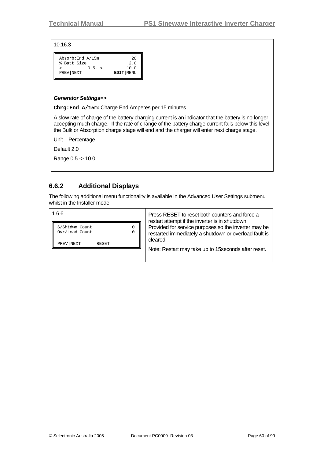#### 10.16.3

| Absorb: End A/15m | 20             |
|-------------------|----------------|
| % Batt Size       | 2.0            |
|                   | 10.0<br>0.5. < |
| PREV NEXT         | EDIT   MENU    |

#### *Generator Settings=>*

**Chrg:End A/15m:** Charge End Amperes per 15 minutes.

A slow rate of charge of the battery charging current is an indicator that the battery is no longer accepting much charge. If the rate of change of the battery charge current falls below this level the Bulk or Absorption charge stage will end and the charger will enter next charge stage.

Unit – Percentage

Default 2.0

Range 0.5 -> 10.0

# **6.6.2 Additional Displays**

The following additional menu functionality is available in the Advanced User Settings submenu whilst in the Installer mode.

| 1.6.6                                                                   | Press RESET to reset both counters and force a<br>restart attempt if the inverter is in shutdown.<br>Provided for service purposes so the inverter may be<br>restarted immediately a shutdown or overload fault is<br>cleared. |
|-------------------------------------------------------------------------|--------------------------------------------------------------------------------------------------------------------------------------------------------------------------------------------------------------------------------|
| 0<br>S/Shtdwn Count<br>Ovr/Load Count<br>0<br><b>RESET</b><br>PREV NEXT |                                                                                                                                                                                                                                |
|                                                                         | Note: Restart may take up to 15 seconds after reset.                                                                                                                                                                           |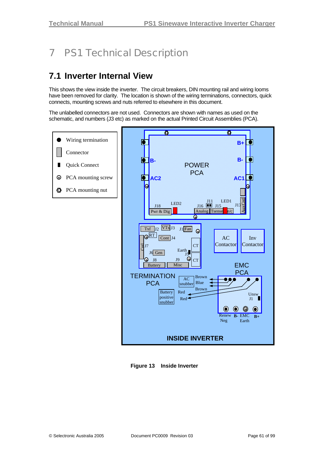# 7 PS1 Technical Description

# **7.1 Inverter Internal View**

This shows the view inside the inverter. The circuit breakers, DIN mounting rail and wiring looms have been removed for clarity. The location is shown of the wiring terminations, connectors, quick connects, mounting screws and nuts referred to elsewhere in this document.

The unlabelled connectors are not used. Connectors are shown with names as used on the schematic, and numbers (J3 etc) as marked on the actual Printed Circuit Assemblies (PCA).



**Figure 13 Inside Inverter**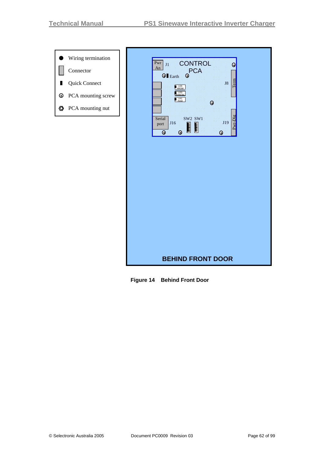●

п



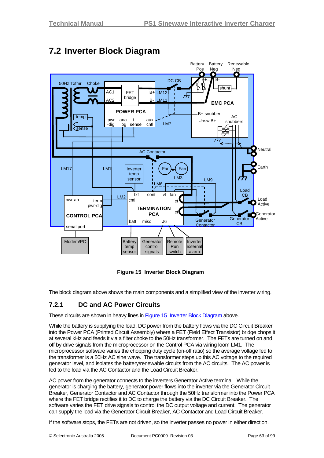

# **7.2 Inverter Block Diagram**

**Figure 15 Inverter Block Diagram** 

The block diagram above shows the main components and a simplified view of the inverter wiring.

# **7.2.1 DC and AC Power Circuits**

These circuits are shown in heavy lines in Figure 15 Inverter Block Diagram above.

While the battery is supplying the load, DC power from the battery flows via the DC Circuit Breaker into the Power PCA (Printed Circuit Assembly) where a FET (Field Effect Transistor) bridge chops it at several kHz and feeds it via a filter choke to the 50Hz transformer. The FETs are turned on and off by drive signals from the microprocessor on the Control PCA via wiring loom LM1. The microprocessor software varies the chopping duty cycle (on-off ratio) so the average voltage fed to the transformer is a 50Hz AC sine wave. The transformer steps up this AC voltage to the required generator level, and isolates the battery/renewable circuits from the AC circuits. The AC power is fed to the load via the AC Contactor and the Load Circuit Breaker.

AC power from the generator connects to the inverters Generator Active terminal. While the generator is charging the battery, generator power flows into the inverter via the Generator Circuit Breaker, Generator Contactor and AC Contactor through the 50Hz transformer into the Power PCA where the FET bridge rectifies it to DC to charge the battery via the DC Circuit Breaker. The software varies the FET drive signals to control the DC output voltage and current. The generator can supply the load via the Generator Circuit Breaker, AC Contactor and Load Circuit Breaker.

If the software stops, the FETs are not driven, so the inverter passes no power in either direction.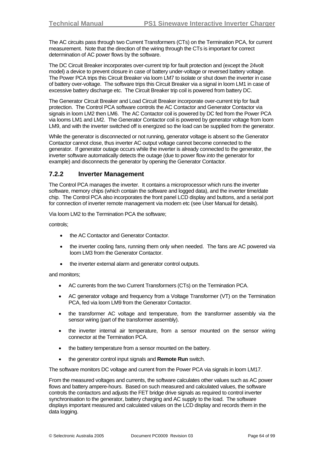The AC circuits pass through two Current Transformers (CTs) on the Termination PCA, for current measurement. Note that the direction of the wiring through the CTs is important for correct determination of AC power flows by the software.

The DC Circuit Breaker incorporates over-current trip for fault protection and (except the 24volt model) a device to prevent closure in case of battery under-voltage or reversed battery voltage. The Power PCA trips this Circuit Breaker via loom LM7 to isolate or shut down the inverter in case of battery over-voltage. The software trips this Circuit Breaker via a signal in loom LM1 in case of excessive battery discharge etc. The Circuit Breaker trip coil is powered from battery DC.

The Generator Circuit Breaker and Load Circuit Breaker incorporate over-current trip for fault protection. The Control PCA software controls the AC Contactor and Generator Contactor via signals in loom LM2 then LM6. The AC Contactor coil is powered by DC fed from the Power PCA via looms LM1 and LM2. The Generator Contactor coil is powered by generator voltage from loom LM9, and with the inverter switched off is energized so the load can be supplied from the generator.

While the generator is disconnected or not running, generator voltage is absent so the Generator Contactor cannot close, thus inverter AC output voltage cannot become connected to the generator. If generator outage occurs while the inverter is already connected to the generator, the inverter software automatically detects the outage (due to power flow *into* the generator for example) and disconnects the generator by opening the Generator Contactor.

# **7.2.2 Inverter Management**

The Control PCA manages the inverter. It contains a microprocessor which runs the inverter software, memory chips (which contain the software and logged data), and the inverter time/date chip. The Control PCA also incorporates the front panel LCD display and buttons, and a serial port for connection of inverter remote management via modem etc (see User Manual for details).

Via loom LM2 to the Termination PCA the software;

controls;

- the AC Contactor and Generator Contactor.
- the inverter cooling fans, running them only when needed. The fans are AC powered via loom LM3 from the Generator Contactor.
- the inverter external alarm and generator control outputs.

and monitors;

- AC currents from the two Current Transformers (CTs) on the Termination PCA.
- AC generator voltage and frequency from a Voltage Transformer (VT) on the Termination PCA, fed via loom LM9 from the Generator Contactor.
- the transformer AC voltage and temperature, from the transformer assembly via the sensor wiring (part of the transformer assembly).
- the inverter internal air temperature, from a sensor mounted on the sensor wiring connector at the Termination PCA.
- the battery temperature from a sensor mounted on the battery.
- the generator control input signals and **Remote Run** switch.

The software monitors DC voltage and current from the Power PCA via signals in loom LM17.

From the measured voltages and currents, the software calculates other values such as AC power flows and battery ampere-hours. Based on such measured and calculated values, the software controls the contactors and adjusts the FET bridge drive signals as required to control inverter synchronisation to the generator, battery charging and AC supply to the load. The software displays important measured and calculated values on the LCD display and records them in the data logging.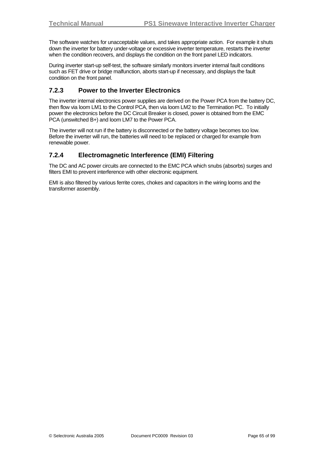The software watches for unacceptable values, and takes appropriate action. For example it shuts down the inverter for battery under-voltage or excessive inverter temperature, restarts the inverter when the condition recovers, and displays the condition on the front panel LED indicators.

During inverter start-up self-test, the software similarly monitors inverter internal fault conditions such as FET drive or bridge malfunction, aborts start-up if necessary, and displays the fault condition on the front panel.

# **7.2.3 Power to the Inverter Electronics**

The inverter internal electronics power supplies are derived on the Power PCA from the battery DC, then flow via loom LM1 to the Control PCA, then via loom LM2 to the Termination PC. To initially power the electronics before the DC Circuit Breaker is closed, power is obtained from the EMC PCA (unswitched B+) and loom LM7 to the Power PCA.

The inverter will not run if the battery is disconnected or the battery voltage becomes too low. Before the inverter will run, the batteries will need to be replaced or charged for example from renewable power.

# **7.2.4 Electromagnetic Interference (EMI) Filtering**

The DC and AC power circuits are connected to the EMC PCA which snubs (absorbs) surges and filters EMI to prevent interference with other electronic equipment.

EMI is also filtered by various ferrite cores, chokes and capacitors in the wiring looms and the transformer assembly.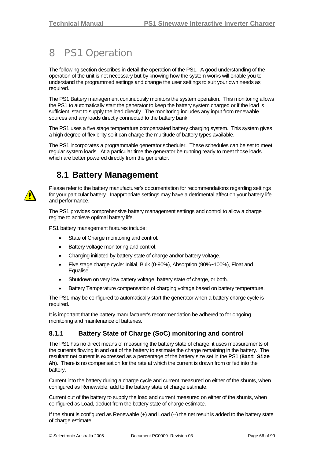# 8 PS1 Operation

The following section describes in detail the operation of the PS1. A good understanding of the operation of the unit is not necessary but by knowing how the system works will enable you to understand the programmed settings and change the user settings to suit your own needs as required.

The PS1 Battery management continuously monitors the system operation. This monitoring allows the PS1 to automatically start the generator to keep the battery system charged or if the load is sufficient, start to supply the load directly. The monitoring includes any input from renewable sources and any loads directly connected to the battery bank.

The PS1 uses a five stage temperature compensated battery charging system. This system gives a high degree of flexibility so it can charge the multitude of battery types available.

The PS1 incorporates a programmable generator scheduler. These schedules can be set to meet regular system loads. At a particular time the generator be running ready to meet those loads which are better powered directly from the generator.

# **8.1 Battery Management**

Please refer to the battery manufacturer's documentation for recommendations regarding settings for your particular battery. Inappropriate settings may have a detrimental affect on your battery life and performance.

The PS1 provides comprehensive battery management settings and control to allow a charge regime to achieve optimal battery life.

PS1 battery management features include:

- State of Charge monitoring and control.
- Battery voltage monitoring and control.
- Charging initiated by battery state of charge and/or battery voltage.
- Five stage charge cycle: Initial, Bulk (0-90%), Absorption (90%~100%), Float and Equalise.
- Shutdown on very low battery voltage, battery state of charge, or both.
- Battery Temperature compensation of charging voltage based on battery temperature.

The PS1 may be configured to automatically start the generator when a battery charge cycle is required.

It is important that the battery manufacturer's recommendation be adhered to for ongoing monitoring and maintenance of batteries.

# **8.1.1 Battery State of Charge (SoC) monitoring and control**

The PS1 has no direct means of measuring the battery state of charge; it uses measurements of the currents flowing in and out of the battery to estimate the charge remaining in the battery. The resultant net current is expressed as a percentage of the battery size set in the PS1 (**Batt Size Ah**). There is no compensation for the rate at which the current is drawn from or fed into the battery.

Current into the battery during a charge cycle and current measured on either of the shunts, when configured as Renewable, add to the battery state of charge estimate.

Current out of the battery to supply the load and current measured on either of the shunts, when configured as Load, deduct from the battery state of charge estimate.

If the shunt is configured as Renewable (+) and Load (--) the net result is added to the battery state of charge estimate.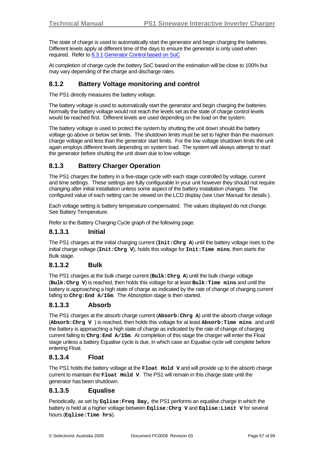The state of charge is used to automatically start the generator and begin charging the batteries. Different levels apply at different time of the days to ensure the generator is only used when required. Refer to [8.3.1](#page-70-0) [Generator Control based on SoC](#page-70-0)

At completion of charge cycle the battery SoC based on the estimation will be close to 100% but may vary depending of the charge and discharge rates.

## **8.1.2 Battery Voltage monitoring and control**

The PS1 directly measures the battery voltage.

The battery voltage is used to automatically start the generator and begin charging the batteries. Normally the battery voltage would not reach the levels set as the state of charge control levels would be reached first. Different levels are used depending on the load on the system.

The battery voltage is used to protect the system by shutting the unit down should the battery voltage go above or below set limits. The shutdown limits must be set to higher than the maximum charge voltage and less than the generator start limits. For the low voltage shutdown limits the unit again employs different levels depending on system load. The system will always attempt to start the generator before shutting the unit down due to low voltage.

# **8.1.3 Battery Charger Operation**

The PS1 charges the battery in a five-stage cycle with each stage controlled by voltage, current and time settings. These settings are fully configurable in your unit however they should not require changing after initial installation unless some aspect of the battery installation changes. The configured value of each setting can be viewed on the LCD display (see User Manual for details ).

Each voltage setting is battery temperature compensated. The values displayed do not change. See Battery Temperature.

Refer to the Battery Charging Cycle graph of the following page.

## **8.1.3.1 Initial**

The PS1 charges at the initial charging current (**Init:Chrg A**) until the battery voltage rises to the initial charge voltage (**Init:Chrg V**), holds this voltage for **Init:Time mins**, then starts the Bulk stage.

## **8.1.3.2 Bulk**

The PS1 charges at the bulk charge current (**Bulk:Chrg A**) until the bulk charge voltage (**Bulk:Chrg V**) is reached, then holds this voltage for at least **Bulk:Time mins** and until the battery is approaching a high state of charge as indicated by the rate of change of charging current falling to **Chrg:End A/15m**. The Absorption stage is then started.

## **8.1.3.3 Absorb**

The PS1 charges at the absorb charge current (**Absorb:Chrg A**) until the absorb charge voltage (**Absorb:Chrg V** ) is reached, then holds this voltage for at least **Absorb:Time mins** and until the battery is approaching a high state of charge as indicated by the rate of change of charging current falling to **Chrg:End A/15m**. At completion of this stage the charger will enter the Float stage unless a battery Equalise cycle is due, in which case an Equalise cycle will complete before entering Float.

## **8.1.3.4 Float**

The PS1 holds the battery voltage at the **Float Hold V** and will provide up to the absorb charge current to maintain the **Float Hold V**. The PS1 will remain in this charge state until the generator has been shutdown.

## **8.1.3.5 Equalise**

Periodically, as set by **Eqlise:Freq Day,** the PS1 performs an equalise charge in which the battery is held at a higher voltage between **Eqlise:Chrg V** and **Eqlise:Limit V** for several hours (**Eqlise:Time hrs**).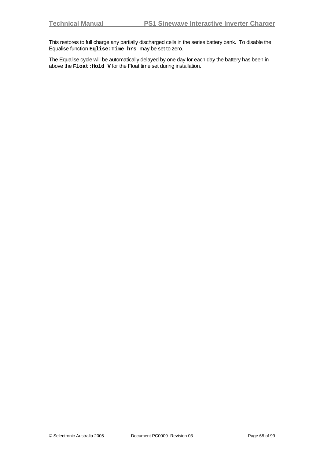This restores to full charge any partially discharged cells in the series battery bank. To disable the Equalise function **Eqlise:Time hrs** may be set to zero.

The Equalise cycle will be automatically delayed by one day for each day the battery has been in above the **Float:Hold V** for the Float time set during installation.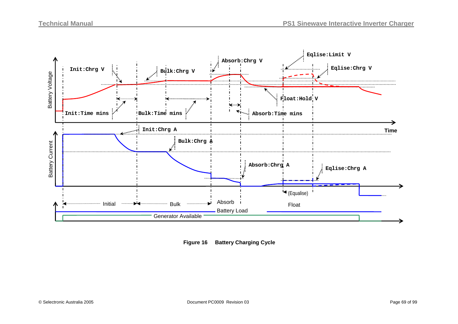

**Figure 16 Battery Charging Cycle**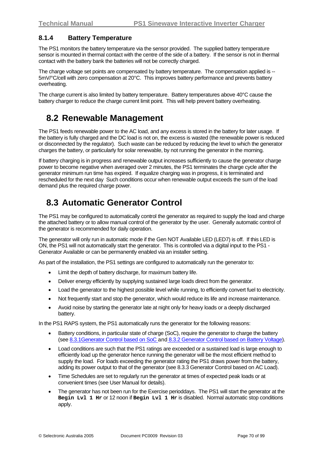# <span id="page-69-0"></span>**8.1.4 Battery Temperature**

The PS1 monitors the battery temperature via the sensor provided. The supplied battery temperature sensor is mounted in thermal contact with the centre of the side of a battery. If the sensor is not in thermal contact with the battery bank the batteries will not be correctly charged.

The charge voltage set points are compensated by battery temperature. The compensation applied is -- 5mV/°C/cell with zero compensation at 20°C. This improves battery performance and prevents battery overheating.

The charge current is also limited by battery temperature. Battery temperatures above 40°C cause the battery charger to reduce the charge current limit point. This will help prevent battery overheating.

# **8.2 Renewable Management**

The PS1 feeds renewable power to the AC load, and any excess is stored in the battery for later usage. If the battery is fully charged and the DC load is not on, the excess is wasted (the renewable power is reduced or disconnected by the regulator). Such waste can be reduced by reducing the level to which the generator charges the battery, or particularly for solar renewable, by not running the generator in the morning.

If battery charging is in progress and renewable output increases sufficiently to cause the generator charge power to become negative when averaged over 2 minutes, the PS1 terminates the charge cycle after the generator minimum run time has expired. If equalize charging was in progress, it is terminated and rescheduled for the next day Such conditions occur when renewable output exceeds the sum of the load demand plus the required charge power.

# **8.3 Automatic Generator Control**

The PS1 may be configured to automatically control the generator as required to supply the load and charge the attached battery or to allow manual control of the generator by the user. Generally automatic control of the generator is recommended for daily operation.

The generator will only run in automatic mode if the Gen NOT Available LED (LED7) is off. If this LED is ON, the PS1 will not automatically start the generator. This is controlled via a digital input to the PS1 - Generator Available or can be permanently enabled via an installer setting.

As part of the installation, the PS1 settings are configured to automatically run the generator to:

- Limit the depth of battery discharge, for maximum battery life.
- Deliver energy efficiently by supplying sustained large loads direct from the generator.
- Load the generator to the highest possible level while running, to efficiently convert fuel to electricity.
- Not frequently start and stop the generator, which would reduce its life and increase maintenance.
- Avoid noise by starting the generator late at night only for heavy loads or a deeply discharged battery.

In the PS1 RAPS system, the PS1 automatically runs the generator for the following reasons:

- Battery conditions, in particular state of charge (SoC), require the generator to charge the battery (see [8.3.1Generator Control based on SoC](#page-70-0) and [8.3.2](#page-73-0) [Generator Control based on Battery Voltage\)](#page-73-0).
- Load conditions are such that the PS1 ratings are exceeded or a sustained load is large enough to efficiently load up the generator hence running the generator will be the most efficient method to supply the load. For loads exceeding the generator rating the PS1 draws power from the battery, adding its power output to that of the generator (see [8.3.3](#page-73-1) [Generator Control based on AC Load\)](#page-73-1).
- Time Schedules are set to regularly run the generator at times of expected peak loads or at convenient times (see User Manual for details).
- The generator has not been run for the Exercise perioddays. The PS1 will start the generator at the **Begin Lvl 1 Hr** or 12 noon if **Begin Lvl 1 Hr** is disabled. Normal automatic stop conditions apply.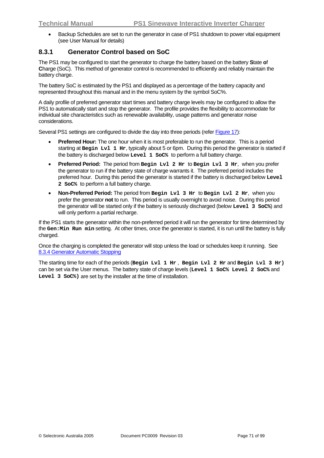• Backup Schedules are set to run the generator in case of PS1 shutdown to power vital equipment (see User Manual for details)

## <span id="page-70-0"></span>**8.3.1 Generator Control based on SoC**

The PS1 may be configured to start the generator to charge the battery based on the battery **S**tate **o**f **C**harge (SoC). This method of generator control is recommended to efficiently and reliably maintain the battery charge.

The battery SoC is estimated by the PS1 and displayed as a percentage of the battery capacity and represented throughout this manual and in the menu system by the symbol SoC%.

A daily profile of preferred generator start times and battery charge levels may be configured to allow the PS1 to automatically start and stop the generator. The profile provides the flexibility to accommodate for individual site characteristics such as renewable availability, usage patterns and generator noise considerations.

Several PS1 settings are configured to divide the day into three periods (refer Figure 17):

- **Preferred Hour:** The one hour when it is most preferable to run the generator. This is a period starting at **Begin Lvl 1 Hr**, typically about 5 or 6pm. During this period the generator is started if the battery is discharged below **Level 1 SoC%** to perform a full battery charge.
- **Preferred Period:** The period from **Begin Lvl 2 Hr** to **Begin Lvl 3 Hr**, when you prefer the generator to run if the battery state of charge warrants it. The preferred period includes the preferred hour. During this period the generator is started if the battery is discharged below **Level 2 SoC%** to perform a full battery charge.
- **Non-Preferred Period:** The period from **Begin Lvl 3 Hr** to **Begin Lvl 2 Hr**, when you prefer the generator **not** to run. This period is usually overnight to avoid noise. During this period the generator will be started only if the battery is seriously discharged (below **Level 3 SoC%**) and will only perform a partial recharge.

If the PS1 starts the generator within the non-preferred period it will run the generator for time determined by the **Gen:Min Run min** setting. At other times, once the generator is started, it is run until the battery is fully charged.

Once the charging is completed the generator will stop unless the load or schedules keep it running. See [8.3.4](#page-74-1) [Generator Automatic Stopping](#page-74-1)

The starting time for each of the periods (**Begin Lvl 1 Hr** , **Begin Lvl 2 Hr** and **Begin Lvl 3 Hr)** can be set via the User menus. The battery state of charge levels (**Level 1 SoC% Level 2 SoC%** and **Level 3 SoC%)** are set by the installer at the time of installation.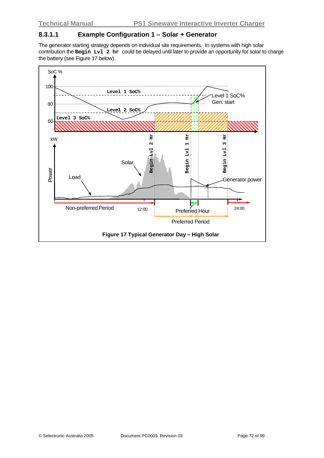## **8.3.1.1 Example Configuration 1 – Solar + Generator**

The generator starting strategy depends on individual site requirements. In systems with high solar contribution the **Begin Lvl 2 hr** could be delayed until later to provide an opportunity for solar to charge the battery (see Figure 17 below).

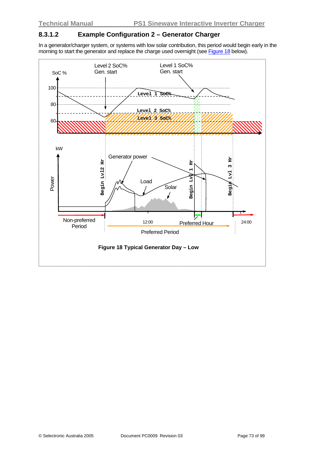#### **8.3.1.2 Example Configuration 2 – Generator Charger**

In a generator/charger system, or systems with low solar contribution, this period would begin early in the morning to start the generator and replace the charge used overnight (see Figure 18 below).

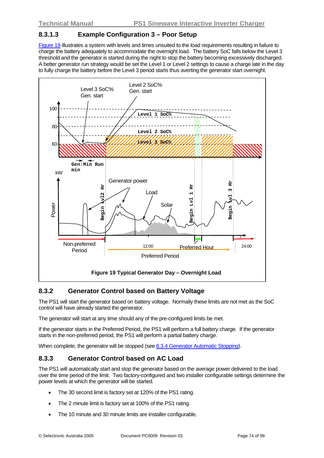#### **8.3.1.3 Example Configuration 3 – Poor Setup**

Figure 19 illustrates a system with levels and times unsuited to the load requirements resulting in failure to charge the battery adequately to accommodate the overnight load. The battery SoC falls below the Level 3 threshold and the generator is started during the night to stop the battery becoming excessively discharged. A better generator run strategy would be set the Level 1 or Level 2 settings to cause a charge late in the day to fully charge the battery before the Level 3 period starts thus averting the generator start overnight.



### **8.3.2 Generator Control based on Battery Voltage**

The PS1 will start the generator based on battery voltage. Normally these limits are not met as the SoC control will have already started the generator.

The generator will start at any time should any of the pre-configured limits be met.

If the generator starts in the Preferred Period, the PS1 will perform a full battery charge. If the generator starts in the non-preferred period, the PS1 will perform a partial battery charge.

When complete, the generator will be stopped (see [8.3.4](#page-74-0) [Generator Automatic Stopping\)](#page-74-0).

### <span id="page-73-0"></span>**8.3.3 Generator Control based on AC Load**

The PS1 will automatically start and stop the generator based on the average power delivered to the load over the time period of the limit. Two factory-configured and two installer configurable settings determine the power levels at which the generator will be started.

- The 30 second limit is factory set at 120% of the PS1 rating.
- The 2 minute limit is factory set at 100% of the PS1 rating.
- The 10 minute and 30 minute limits are installer configurable.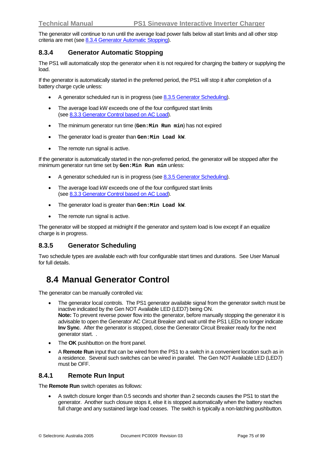The generator will continue to run until the average load power falls below all start limits and all other stop criteria are met (see [8.3.4](#page-74-0) [Generator Automatic Stopping](#page-74-0)).

#### <span id="page-74-0"></span>**8.3.4 Generator Automatic Stopping**

The PS1 will automatically stop the generator when it is not required for charging the battery or supplying the load.

If the generator is automatically started in the preferred period, the PS1 will stop it after completion of a battery charge cycle unless:

- A generator scheduled run is in progress (see [8.3.5](#page-74-1) [Generator Scheduling](#page-74-1)).
- The average load kW exceeds one of the four configured start limits (see [8.3.3](#page-73-0) [Generator Control based on AC Load\)](#page-73-0).
- The minimum generator run time (**Gen:Min Run min**) has not expired
- The generator load is greater than **Gen:Min Load kW**.
- The remote run signal is active.

If the generator is automatically started in the non-preferred period, the generator will be stopped after the minimum generator run time set by **Gen:Min Run min** unless:

- A generator scheduled run is in progress (see [8.3.5](#page-74-1) [Generator Scheduling](#page-74-1)).
- The average load kW exceeds one of the four configured start limits (see [8.3.3](#page-73-0) [Generator Control based on AC Load\)](#page-73-0).
- The generator load is greater than **Gen:Min Load kW**.
- The remote run signal is active.

The generator will be stopped at midnight if the generator and system load is low except if an equalize charge is in progress.

### <span id="page-74-1"></span>**8.3.5 Generator Scheduling**

Two schedule types are available each with four configurable start times and durations. See User Manual for full details.

# **8.4 Manual Generator Control**

The generator can be manually controlled via:

- The generator local controls. The PS1 generator available signal from the generator switch must be inactive indicated by the Gen NOT Available LED (LED7) being ON. **Note:** To prevent reverse power flow into the generator, before manually stopping the generator it is advisable to open the Generator AC Circuit Breaker and wait until the PS1 LEDs no longer indicate **Inv Sync**. After the generator is stopped, close the Generator Circuit Breaker ready for the next generator start. .
- The **OK** pushbutton on the front panel.
- A **Remote Run** input that can be wired from the PS1 to a switch in a convenient location such as in a residence. Several such switches can be wired in parallel. The Gen NOT Available LED (LED7) must be OFF.

#### **8.4.1 Remote Run Input**

The **Remote Run** switch operates as follows:

• A switch closure longer than 0.5 seconds and shorter than 2 seconds causes the PS1 to start the generator. Another such closure stops it, else it is stopped automatically when the battery reaches full charge and any sustained large load ceases. The switch is typically a non-latching pushbutton.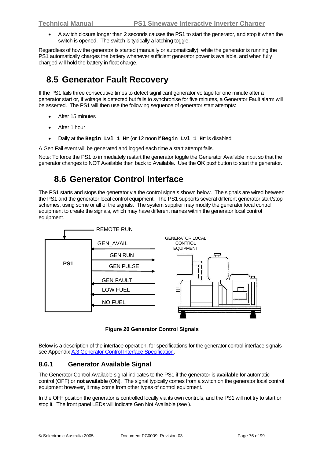• A switch closure longer than 2 seconds causes the PS1 to start the generator, and stop it when the switch is opened. The switch is typically a latching toggle.

Regardless of how the generator is started (manually or automatically), while the generator is running the PS1 automatically charges the battery whenever sufficient generator power is available, and when fully charged will hold the battery in float charge.

# **8.5 Generator Fault Recovery**

If the PS1 fails three consecutive times to detect significant generator voltage for one minute after a generator start or, if voltage is detected but fails to synchronise for five minutes, a Generator Fault alarm will be asserted. The PS1 will then use the following sequence of generator start attempts:

- After 15 minutes
- After 1 hour
- Daily at the **Begin Lvl 1 Hr** (or 12 noon if **Begin Lvl 1 Hr** is disabled

A Gen Fail event will be generated and logged each time a start attempt fails.

Note: To force the PS1 to immediately restart the generator toggle the Generator Available input so that the generator changes to NOT Available then back to Available. Use the **OK** pushbutton to start the generator.

# **8.6 Generator Control Interface**

<span id="page-75-0"></span>The PS1 starts and stops the generator via the control signals shown below. The signals are wired between the PS1 and the generator local control equipment. The PS1 supports several different generator start/stop schemes, using some or all of the signals. The system supplier may modify the generator local control equipment to create the signals, which may have different names within the generator local control equipment.



**Figure 20 Generator Control Signals** 

Below is a description of the interface operation, for specifications for the generator control interface signals see Appendix [A.3](#page-86-0) [Generator Control Interface Specification.](#page-86-0)

### **8.6.1 Generator Available Signal**

The Generator Control Available signal indicates to the PS1 if the generator is **available** for automatic control (OFF) or **not available** (ON). The signal typically comes from a switch on the generator local control equipment however, it may come from other types of control equipment.

In the OFF position the generator is controlled locally via its own controls, and the PS1 will not try to start or stop it. The front panel LEDs will indicate Gen Not Available (see ).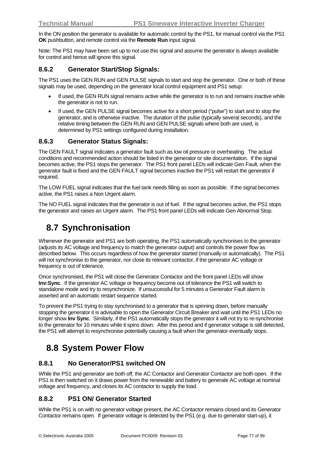In the ON position the generator is available for automatic control by the PS1, for manual control via the PS1 **OK** pushbutton, and remote control via the **Remote Run** input signal.

Note: The PS1 may have been set up to not use this signal and assume the generator is always available for control and hence will ignore this signal.

#### **8.6.2 Generator Start/Stop Signals:**

The PS1 uses the GEN RUN and GEN PULSE signals to start and stop the generator. One or both of these signals may be used, depending on the generator local control equipment and PS1 setup:

- If used, the GEN RUN signal remains active while the generator is to run and remains inactive while the generator is not to run.
- If used, the GEN PULSE signal becomes active for a short period ("pulse") to start and to stop the generator, and is otherwise inactive. The duration of the pulse (typically several seconds), and the relative timing between the GEN RUN and GEN PULSE signals where both are used, is determined by PS1 settings configured during installation.

#### **8.6.3 Generator Status Signals:**

The GEN FAULT signal indicates a generator fault such as low oil pressure or overheating. The actual conditions and recommended action should be listed in the generator or site documentation. If the signal becomes active, the PS1 stops the generator. The PS1 front panel LEDs will indicate Gen Fault, when the generator fault is fixed and the GEN FAULT signal becomes inactive the PS1 will restart the generator if required.

The LOW FUEL signal indicates that the fuel tank needs filling as soon as possible. If the signal becomes active, the PS1 raises a Non Urgent alarm.

The NO FUEL signal indicates that the generator is out of fuel. If the signal becomes active, the PS1 stops the generator and raises an Urgent alarm. The PS1 front panel LEDs will indicate Gen Abnormal Stop.

## **8.7 Synchronisation**

Whenever the generator and PS1 are both operating, the PS1 automatically synchronises to the generator (adjusts its AC voltage and frequency to match the generator output) and controls the power flow as described below. This occurs regardless of how the generator started (manually or automatically). The PS1 will not synchronise to the generator, nor close its relevant contactor, if the generator AC voltage or frequency is out of tolerance.

Once synchronised, the PS1 will close the Generator Contactor and the front panel LEDs will show **Inv:Sync**. If the generator AC voltage or frequency become out of tolerance the PS1 will switch to standalone mode and try to resynchronize. If unsuccessful for 5 minutes a Generator Fault alarm is asserted and an automatic restart sequence started.

To prevent the PS1 trying to stay synchronised to a generator that is spinning down, before manually stopping the generator it is advisable to open the Generator Circuit Breaker and wait until the PS1 LEDs no longer show **Inv Sync**. Similarly, if the PS1 automatically stops the generator it will not try to re-synchronise to the generator for 10 minutes while it spins down. After this period and if generator voltage is still detected, the PS1 will attempt to resynchronise potentially causing a fault when the generator eventually stops.

### **8.8 System Power Flow**

#### **8.8.1 No Generator/PS1 switched ON**

While the PS1 and generator are both off, the AC Contactor and Generator Contactor are both open. If the PS1 is then switched on it draws power from the renewable and battery to generate AC voltage at nominal voltage and frequency, and closes its AC contactor to supply the load.

#### **8.8.2 PS1 ON/ Generator Started**

While the PS1 is on with no generator voltage present, the AC Contactor remains closed and its Generator Contactor remains open. If generator voltage is detected by the PS1 (e.g. due to generator start-up), it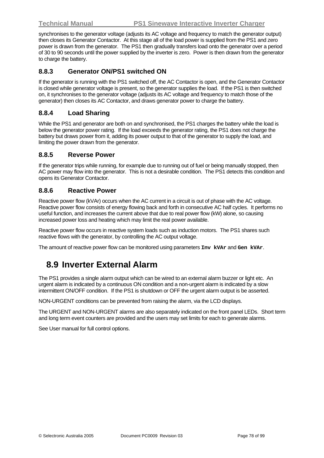synchronises to the generator voltage (adjusts its AC voltage and frequency to match the generator output) then closes its Generator Contactor. At this stage all of the load power is supplied from the PS1 and zero power is drawn from the generator. The PS1 then gradually transfers load onto the generator over a period of 30 to 90 seconds until the power supplied by the inverter is zero. Power is then drawn from the generator to charge the battery.

#### **8.8.3 Generator ON/PS1 switched ON**

If the generator is running with the PS1 switched off, the AC Contactor is open, and the Generator Contactor is closed while generator voltage is present, so the generator supplies the load. If the PS1 is then switched on, it synchronises to the generator voltage (adjusts its AC voltage and frequency to match those of the generator) then closes its AC Contactor, and draws generator power to charge the battery.

#### **8.8.4 Load Sharing**

While the PS1 and generator are both on and synchronised, the PS1 charges the battery while the load is below the generator power rating. If the load exceeds the generator rating, the PS1 does not charge the battery but draws power from it, adding its power output to that of the generator to supply the load, and limiting the power drawn from the generator.

#### **8.8.5 Reverse Power**

If the generator trips while running, for example due to running out of fuel or being manually stopped, then AC power may flow into the generator. This is not a desirable condition. The PS1 detects this condition and opens its Generator Contactor.

#### **8.8.6 Reactive Power**

Reactive power flow (kVAr) occurs when the AC current in a circuit is out of phase with the AC voltage. Reactive power flow consists of energy flowing back and forth in consecutive AC half cycles. It performs no useful function, and increases the current above that due to real power flow (kW) alone, so causing increased power loss and heating which may limit the real power available.

Reactive power flow occurs in reactive system loads such as induction motors. The PS1 shares such reactive flows with the generator, by controlling the AC output voltage.

The amount of reactive power flow can be monitored using parameters **Inv kVAr** and **Gen kVAr**.

# **8.9 Inverter External Alarm**

The PS1 provides a single alarm output which can be wired to an external alarm buzzer or light etc. An urgent alarm is indicated by a continuous ON condition and a non-urgent alarm is indicated by a slow intermittent ON/OFF condition. If the PS1 is shutdown or OFF the urgent alarm output is be asserted.

NON-URGENT conditions can be prevented from raising the alarm, via the LCD displays.

The URGENT and NON-URGENT alarms are also separately indicated on the front panel LEDs. Short term and long term event counters are provided and the users may set limits for each to generate alarms.

See User manual for full control options.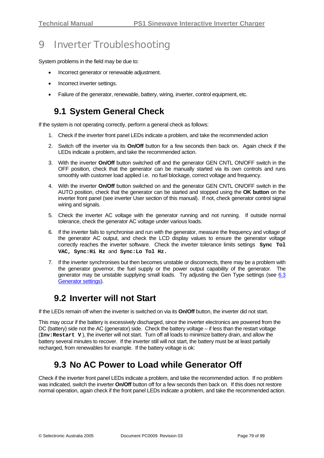# 9 Inverter Troubleshooting

System problems in the field may be due to:

- Incorrect generator or renewable adjustment.
- Incorrect inverter settings.
- Failure of the generator, renewable, battery, wiring, inverter, control equipment, etc.

### **9.1 System General Check**

If the system is not operating correctly, perform a general check as follows:

- 1. Check if the inverter front panel LEDs indicate a problem, and take the recommended action
- 2. Switch off the inverter via its **On/Off** button for a few seconds then back on. Again check if the LEDs indicate a problem, and take the recommended action.
- 3. With the inverter **On/Off** button switched off and the generator GEN CNTL ON/OFF switch in the OFF position, check that the generator can be manually started via its own controls and runs smoothly with customer load applied i.e. no fuel blockage, correct voltage and frequency.
- 4. With the inverter **On/Off** button switched on and the generator GEN CNTL ON/OFF switch in the AUTO position, check that the generator can be started and stopped using the **OK button** on the inverter front panel (see inverter User section of this manual). If not, check generator control signal wiring and signals.
- 5. Check the inverter AC voltage with the generator running and not running. If outside normal tolerance, check the generator AC voltage under various loads.
- 6. If the inverter fails to synchronise and run with the generator, measure the frequency and voltage of the generator AC output, and check the LCD display values to ensure the generator voltage correctly reaches the inverter software. Check the inverter tolerance limits settings **Sync Tol VAC, Sync:Hi Hz** and **Sync:Lo Tol Hz.**
- 7. If the inverter synchronises but then becomes unstable or disconnects, there may be a problem with the generator governor, the fuel supply or the power output capability of the generator. The generator may be unstable supplying small loads. Try adjusting the Gen Type settings (see  $6.3$ ) [Generator settings\)](#page-37-0).

### **9.2 Inverter will not Start**

If the LEDs remain off when the inverter is switched on via its **On/Off** button, the inverter did not start.

This may occur if the battery is excessively discharged, since the inverter electronics are powered from the DC (battery) side not the AC (generator) side. Check the battery voltage – if less than the restart voltage (**Inv:Restart V** ), the inverter will not start. Turn off all loads to minimize battery drain, and allow the battery several minutes to recover. If the inverter still will not start, the battery must be at least partially recharged, from renewables for example. If the battery voltage is ok:

### **9.3 No AC Power to Load while Generator Off**

Check if the inverter front panel LEDs indicate a problem, and take the recommended action. If no problem was indicated, switch the inverter **On/Off** button off for a few seconds then back on. If this does not restore normal operation, again check if the front panel LEDs indicate a problem, and take the recommended action.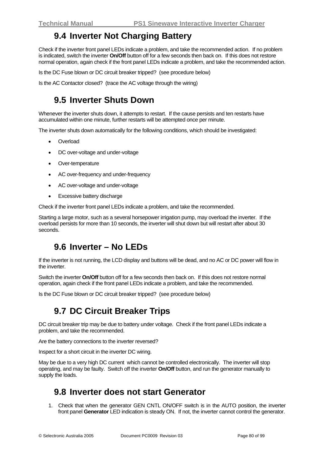## **9.4 Inverter Not Charging Battery**

Check if the inverter front panel LEDs indicate a problem, and take the recommended action. If no problem is indicated, switch the inverter **On/Off** button off for a few seconds then back on. If this does not restore normal operation, again check if the front panel LEDs indicate a problem, and take the recommended action.

Is the DC Fuse blown or DC circuit breaker tripped? (see procedure below)

Is the AC Contactor closed? (trace the AC voltage through the wiring)

### **9.5 Inverter Shuts Down**

Whenever the inverter shuts down, it attempts to restart. If the cause persists and ten restarts have accumulated within one minute, further restarts will be attempted once per minute.

The inverter shuts down automatically for the following conditions, which should be investigated:

- **Overload**
- DC over-voltage and under-voltage
- Over-temperature
- AC over-frequency and under-frequency
- AC over-voltage and under-voltage
- Excessive battery discharge

Check if the inverter front panel LEDs indicate a problem, and take the recommended.

Starting a large motor, such as a several horsepower irrigation pump, may overload the inverter. If the overload persists for more than 10 seconds, the inverter will shut down but will restart after about 30 seconds.

### **9.6 Inverter – No LEDs**

If the inverter is not running, the LCD display and buttons will be dead, and no AC or DC power will flow in the inverter.

Switch the inverter **On/Off** button off for a few seconds then back on. If this does not restore normal operation, again check if the front panel LEDs indicate a problem, and take the recommended.

Is the DC Fuse blown or DC circuit breaker tripped? (see procedure below)

## **9.7 DC Circuit Breaker Trips**

DC circuit breaker trip may be due to battery under voltage. Check if the front panel LEDs indicate a problem, and take the recommended.

Are the battery connections to the inverter reversed?

Inspect for a short circuit in the inverter DC wiring.

May be due to a very high DC current which cannot be controlled electronically. The inverter will stop operating, and may be faulty. Switch off the inverter **On/Off** button, and run the generator manually to supply the loads.

### **9.8 Inverter does not start Generator**

1. Check that when the generator GEN CNTL ON/OFF switch is in the AUTO position, the inverter front panel **Generator** LED indication is steady ON. If not, the inverter cannot control the generator.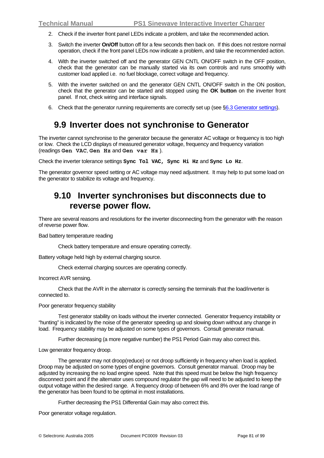- 2. Check if the inverter front panel LEDs indicate a problem, and take the recommended action.
- 3. Switch the inverter **On/Off** button off for a few seconds then back on. If this does not restore normal operation, check if the front panel LEDs now indicate a problem, and take the recommended action.
- 4. With the inverter switched off and the generator GEN CNTL ON/OFF switch in the OFF position, check that the generator can be manually started via its own controls and runs smoothly with customer load applied i.e. no fuel blockage, correct voltage and frequency.
- 5. With the inverter switched on and the generator GEN CNTL ON/OFF switch in the ON position, check that the generator can be started and stopped using the **OK button** on the inverter front panel. If not, check wiring and interface signals.
- 6. Check that the generator running requirements are correctly set up (see [§6.3](#page-37-0) [Generator settings\)](#page-37-0).

### **9.9 Inverter does not synchronise to Generator**

The inverter cannot synchronise to the generator because the generator AC voltage or frequency is too high or low. Check the LCD displays of measured generator voltage, frequency and frequency variation (readings **Gen VAC**, **Gen Hz** and **Gen var Hz** ).

Check the inverter tolerance settings **Sync Tol VAC, Sync Hi Hz** and **Sync Lo Hz**.

The generator governor speed setting or AC voltage may need adjustment. It may help to put some load on the generator to stabilize its voltage and frequency.

### **9.10 Inverter synchronises but disconnects due to reverse power flow.**

There are several reasons and resolutions for the inverter disconnecting from the generator with the reason of reverse power flow.

Bad battery temperature reading

Check battery temperature and ensure operating correctly.

Battery voltage held high by external charging source.

Check external charging sources are operating correctly.

Incorrect AVR sensing.

 Check that the AVR in the alternator is correctly sensing the terminals that the load/inverter is connected to.

#### Poor generator frequency stability

 Test generator stability on loads without the inverter connected. Generator frequency instability or "hunting" is indicated by the noise of the generator speeding up and slowing down without any change in load. Frequency stability may be adjusted on some types of governors. Consult generator manual.

Further decreasing (a more negative number) the PS1 Period Gain may also correct this.

Low generator frequency droop.

 The generator may not droop(reduce) or not droop sufficiently in frequency when load is applied. Droop may be adjusted on some types of engine governors. Consult generator manual. Droop may be adjusted by increasing the no load engine speed. Note that this speed must be below the high frequency disconnect point and if the alternator uses compound regulator the gap will need to be adjusted to keep the output voltage within the desired range. A frequency droop of between 6% and 8% over the load range of the generator has been found to be optimal in most installations.

Further decreasing the PS1 Differential Gain may also correct this.

Poor generator voltage regulation.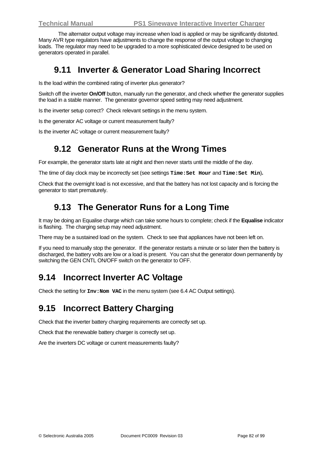The alternator output voltage may increase when load is applied or may be significantly distorted. Many AVR type regulators have adjustments to change the response of the output voltage to changing loads. The regulator may need to be upgraded to a more sophisticated device designed to be used on generators operated in parallel.

## **9.11 Inverter & Generator Load Sharing Incorrect**

Is the load within the combined rating of inverter plus generator?

Switch off the inverter **On/Off** button, manually run the generator, and check whether the generator supplies the load in a stable manner. The generator governor speed setting may need adjustment.

Is the inverter setup correct? Check relevant settings in the menu system.

Is the generator AC voltage or current measurement faulty?

Is the inverter AC voltage or current measurement faulty?

### **9.12 Generator Runs at the Wrong Times**

For example, the generator starts late at night and then never starts until the middle of the day.

The time of day clock may be incorrectly set (see settings **Time:Set Hour** and **Time:Set Min**)**.** 

Check that the overnight load is not excessive, and that the battery has not lost capacity and is forcing the generator to start prematurely.

# **9.13 The Generator Runs for a Long Time**

It may be doing an Equalise charge which can take some hours to complete; check if the **Equalise** indicator is flashing. The charging setup may need adjustment.

There may be a sustained load on the system. Check to see that appliances have not been left on.

If you need to manually stop the generator. If the generator restarts a minute or so later then the battery is discharged, the battery volts are low or a load is present. You can shut the generator down permanently by switching the GEN CNTL ON/OFF switch on the generator to OFF.

## **9.14 Incorrect Inverter AC Voltage**

Check the setting for **Inv:Nom VAC** in the menu system (see [6.4](#page-46-0) [AC Output settings](#page-46-0)).

### **9.15 Incorrect Battery Charging**

Check that the inverter battery charging requirements are correctly set up.

Check that the renewable battery charger is correctly set up.

Are the inverters DC voltage or current measurements faulty?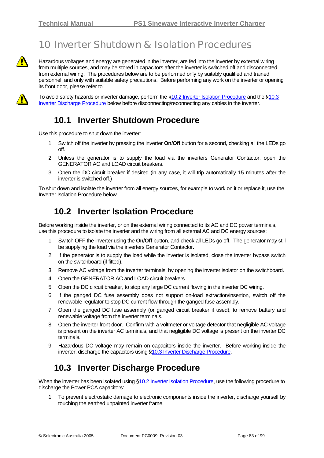# 10 Inverter Shutdown & Isolation Procedures

Hazardous voltages and energy are generated in the inverter, are fed into the inverter by external wiring from multiple sources, and may be stored in capacitors after the inverter is switched off and disconnected from external wiring. The procedures below are to be performed only by suitably qualified and trained personnel, and only with suitable safety precautions. Before performing any work on the inverter or opening its front door, please refer to



To avoid safety hazards or inverter damage, perform the \$[10.2](#page-82-0) [Inverter Isolation Procedure](#page-82-0) and the \$10.3 [Inverter Discharge Procedure](#page-82-1) below before disconnecting/reconnecting any cables in the inverter.

## **10.1 Inverter Shutdown Procedure**

Use this procedure to shut down the inverter:

- 1. Switch off the inverter by pressing the inverter **On/Off** button for a second, checking all the LEDs go off.
- 2. Unless the generator is to supply the load via the inverters Generator Contactor, open the GENERATOR AC and LOAD circuit breakers.
- 3. Open the DC circuit breaker if desired (in any case, it will trip automatically 15 minutes after the inverter is switched off.)

To shut down and isolate the inverter from all energy sources, for example to work on it or replace it, use the Inverter Isolation Procedure below.

# **10.2 Inverter Isolation Procedure**

<span id="page-82-0"></span>Before working inside the inverter, or on the external wiring connected to its AC and DC power terminals, use this procedure to isolate the inverter and the wiring from all external AC and DC energy sources:

- 1. Switch OFF the inverter using the **On/Off** button, and check all LEDs go off. The generator may still be supplying the load via the inverters Generator Contactor.
- 2. If the generator is to supply the load while the inverter is isolated, close the inverter bypass switch on the switchboard (if fitted).
- 3. Remove AC voltage from the inverter terminals, by opening the inverter isolator on the switchboard.
- 4. Open the GENERATOR AC and LOAD circuit breakers.
- 5. Open the DC circuit breaker, to stop any large DC current flowing in the inverter DC wiring.
- 6. If the ganged DC fuse assembly does not support on-load extraction/insertion, switch off the renewable regulator to stop DC current flow through the ganged fuse assembly.
- 7. Open the ganged DC fuse assembly (or ganged circuit breaker if used), to remove battery and renewable voltage from the inverter terminals.
- 8. Open the inverter front door. Confirm with a voltmeter or voltage detector that negligible AC voltage is present on the inverter AC terminals, and that negligible DC voltage is present on the inverter DC terminals.
- 9. Hazardous DC voltage may remain on capacitors inside the inverter. Before working inside the inverter, discharge the capacitors using [§10.3](#page-82-1) [Inverter Discharge Procedure](#page-82-1).

# **10.3 Inverter Discharge Procedure**

<span id="page-82-1"></span>When the inverter has been isolated using [§10.2](#page-82-0) [Inverter Isolation Procedure](#page-82-0), use the following procedure to discharge the Power PCA capacitors:

1. To prevent electrostatic damage to electronic components inside the inverter, discharge yourself by touching the earthed unpainted inverter frame.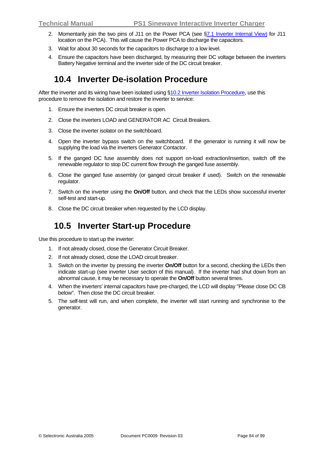- 2. Momentarily join the two pins of J11 on the Power PCA (see [§7.1](#page-60-0) [Inverter Internal View\)](#page-60-0) for J11 location on the PCA). This will cause the Power PCA to discharge the capacitors.
- 3. Wait for about 30 seconds for the capacitors to discharge to a low level.
- 4. Ensure the capacitors have been discharged, by measuring their DC voltage between the inverters Battery Negative terminal and the inverter side of the DC circuit breaker.

# **10.4 Inverter De-isolation Procedure**

After the inverter and its wiring have been isolated using §[10.2](#page-82-0) [Inverter Isolation Procedure,](#page-82-0) use this procedure to remove the isolation and restore the inverter to service:

- 1. Ensure the inverters DC circuit breaker is open.
- 2. Close the inverters LOAD and GENERATOR AC Circuit Breakers.
- 3. Close the inverter isolator on the switchboard.
- 4. Open the inverter bypass switch on the switchboard. If the generator is running it will now be supplying the load via the inverters Generator Contactor.
- 5. If the ganged DC fuse assembly does not support on-load extraction/insertion, switch off the renewable regulator to stop DC current flow through the ganged fuse assembly.
- 6. Close the ganged fuse assembly (or ganged circuit breaker if used). Switch on the renewable regulator.
- 7. Switch on the inverter using the **On/Off** button, and check that the LEDs show successful inverter self-test and start-up.
- 8. Close the DC circuit breaker when requested by the LCD display.

## **10.5 Inverter Start-up Procedure**

Use this procedure to start up the inverter:

- 1. If not already closed, close the Generator Circuit Breaker.
- 2. If not already closed, close the LOAD circuit breaker.
- 3. Switch on the inverter by pressing the inverter **On/Off** button for a second, checking the LEDs then indicate start-up (see inverter User section of this manual). If the inverter had shut down from an abnormal cause, it may be necessary to operate the **On/Off** button several times.
- 4. When the inverters' internal capacitors have pre-charged, the LCD will display "Please close DC CB below". Then close the DC circuit breaker.
- 5. The self-test will run, and when complete, the inverter will start running and synchronise to the generator.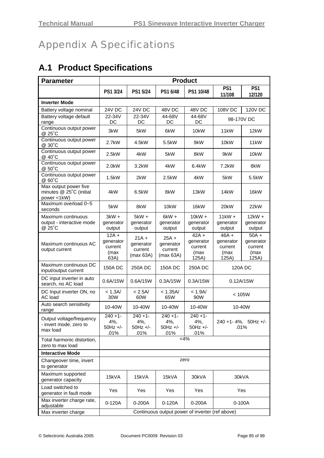# Appendix A Specifications

# **A.1 Product Specifications**

| <b>Parameter</b>                                                | <b>Product</b>                                  |                                              |                                              |                                                  |                                                  |                                                  |  |
|-----------------------------------------------------------------|-------------------------------------------------|----------------------------------------------|----------------------------------------------|--------------------------------------------------|--------------------------------------------------|--------------------------------------------------|--|
|                                                                 | PS1 3/24                                        | PS1 5/24                                     | PS1 6/48                                     | PS1 10/48                                        | PS1<br>11/108                                    | PS1<br>12/120                                    |  |
| <b>Inverter Mode</b>                                            |                                                 |                                              |                                              |                                                  |                                                  |                                                  |  |
| Battery voltage nominal                                         | 24V DC                                          | 24V DC                                       | 48V DC                                       | 48V DC                                           | <b>108V DC</b>                                   | <b>120V DC</b>                                   |  |
| Battery voltage default<br>range                                | 22-34V<br>DC                                    | 22-34V<br>DC                                 | 44-68V<br>DC                                 | 44-68V<br>DC                                     | 98-170V DC                                       |                                                  |  |
| Continuous output power<br>@ 25°C                               | 3kW                                             | 5kW                                          | 6kW                                          | 10kW                                             | 11kW                                             | 12kW                                             |  |
| Continuous output power<br>@ 30°C                               | 2.7kW                                           | 4.5kW                                        | 5.5kW                                        | 9kW                                              | 10kW                                             | 11kW                                             |  |
| Continuous output power<br>@ 40°C                               | 2.5kW                                           | 4kW                                          | 5kW                                          | 8kW                                              | 9kW                                              | 10kW                                             |  |
| Continuous output power<br>@ 50°C                               | 2.0kW                                           | 3.2kW                                        | 4kW                                          | 6.4kW                                            | $7.2$ kW                                         | 8kW                                              |  |
| Continuous output power<br>@ 60°C                               | 1.5kW                                           | 2kW                                          | 2.5kW                                        | 4kW                                              | 5kW                                              | 5.5kW                                            |  |
| Max output power five<br>minutes @ 25°C (initial<br>power <1kW) | 4kW                                             | 6.5kW                                        | 8kW                                          | 13kW                                             | 14kW                                             | 16kW                                             |  |
| Maximum overload 0~5<br>seconds                                 | 5kW                                             | 8kW                                          | 10kW                                         | 16kW                                             | 20kW                                             | 22kW                                             |  |
| Maximum continuous<br>output - interactive mode<br>@ 25°C       | $3kW +$<br>generator<br>output                  | $5kW +$<br>generator<br>output               | $6kW +$<br>generator<br>output               | $10kW +$<br>generator<br>output                  | $11kW +$<br>generator<br>output                  | $12kW +$<br>generator<br>output                  |  |
| Maximum continuous AC<br>output current                         | $12A +$<br>generator<br>current<br>(max<br>63A) | $21A +$<br>generator<br>current<br>(max 63A) | $25A +$<br>generator<br>current<br>(max 63A) | $42A +$<br>generator<br>current<br>(max<br>125A) | $46A +$<br>generator<br>current<br>(max<br>125A) | $50A +$<br>generator<br>current<br>(max<br>125A) |  |
| Maximum continuous DC<br>input/output current                   | <b>150A DC</b>                                  | 250A DC                                      | <b>150A DC</b>                               | 250A DC                                          |                                                  | 120A DC                                          |  |
| DC input inverter in auto<br>search, no AC load                 | 0.6A/15W                                        | 0.6A/15W                                     | 0.3A/15W                                     | 0.3A/15W                                         |                                                  | 0.12A/15W                                        |  |
| DC Input inverter ON, no<br>AC load                             | < 1.3A/<br>30W                                  | < 2.5A/<br>60W                               | < 1.35A/<br>65W                              | < 1.9A/<br>90W                                   | < 105W                                           |                                                  |  |
| Auto search sensitivity<br>range                                | 10-40W                                          | 10-40W                                       | 10-40W                                       | 10-40W                                           |                                                  | 10-40W                                           |  |
| Output voltage/frequency<br>- invert mode, zero to<br>max load  | $240 + 1$<br>4%,<br>$50Hz +/-$<br>.01%          | $240 + 1$<br>4%,<br>50Hz +/-<br>.01%         | $240 + 1$ -<br>4%,<br>$50Hz +/-$<br>.01%     | $240 + 1$ -<br>4%,<br>$50Hz +/-$<br>.01%         |                                                  | 240 +1-4%, 50Hz +/-<br>.01%                      |  |
| Total harmonic distortion,<br>zero to max load                  |                                                 |                                              |                                              | $<$ 4%                                           |                                                  |                                                  |  |
| <b>Interactive Mode</b>                                         |                                                 |                                              |                                              |                                                  |                                                  |                                                  |  |
| Changeover time, invert<br>to generator                         |                                                 |                                              |                                              | zero                                             |                                                  |                                                  |  |
| Maximum supported<br>generator capacity                         | 15kVA                                           | 15kVA                                        | 15kVA                                        | 30kVA                                            | 30kVA                                            |                                                  |  |
| Load switched to<br>generator in fault mode                     | Yes                                             | Yes                                          | Yes                                          | Yes                                              |                                                  | Yes                                              |  |
| Max inverter charge rate,<br>adjustable                         | $0-120A$                                        | 0-200A                                       | $0-120A$                                     | 0-200A                                           |                                                  | 0-100A                                           |  |
| Max inverter charge                                             | Continuous output power of inverter (ref above) |                                              |                                              |                                                  |                                                  |                                                  |  |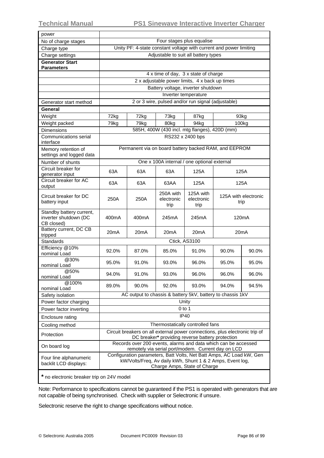| power                                                           |                                                                                                                                                                                                                         |       |                                 |                                                                                                                    |                              |                   |  |
|-----------------------------------------------------------------|-------------------------------------------------------------------------------------------------------------------------------------------------------------------------------------------------------------------------|-------|---------------------------------|--------------------------------------------------------------------------------------------------------------------|------------------------------|-------------------|--|
| No of charge stages                                             | Four stages plus equalise                                                                                                                                                                                               |       |                                 |                                                                                                                    |                              |                   |  |
| Charge type                                                     | Unity PF: 4-state constant voltage with current and power limiting                                                                                                                                                      |       |                                 |                                                                                                                    |                              |                   |  |
| Charge settings                                                 | Adjustable to suit all battery types                                                                                                                                                                                    |       |                                 |                                                                                                                    |                              |                   |  |
| <b>Generator Start</b><br>Parameters                            |                                                                                                                                                                                                                         |       |                                 |                                                                                                                    |                              |                   |  |
|                                                                 |                                                                                                                                                                                                                         |       |                                 | 4 x time of day, 3 x state of charge                                                                               |                              |                   |  |
|                                                                 |                                                                                                                                                                                                                         |       |                                 | 2 x adjustable power limits, 4 x back up times                                                                     |                              |                   |  |
|                                                                 |                                                                                                                                                                                                                         |       |                                 | Battery voltage, inverter shutdown                                                                                 |                              |                   |  |
|                                                                 |                                                                                                                                                                                                                         |       |                                 | Inverter temperature                                                                                               |                              |                   |  |
| Generator start method                                          |                                                                                                                                                                                                                         |       |                                 | 2 or 3 wire, pulsed and/or run signal (adjustable)                                                                 |                              |                   |  |
| General                                                         |                                                                                                                                                                                                                         |       |                                 |                                                                                                                    |                              |                   |  |
| Weight                                                          | 72kg                                                                                                                                                                                                                    | 72kg  | 73kg                            | 87kg                                                                                                               | 93kg                         |                   |  |
| Weight packed                                                   | 79kg                                                                                                                                                                                                                    | 79kg  | 80kg                            | 94kg                                                                                                               |                              | 100 <sub>kg</sub> |  |
| <b>Dimensions</b>                                               |                                                                                                                                                                                                                         |       |                                 | 585H, 400W (430 incl. mtg flanges), 420D (mm)                                                                      |                              |                   |  |
| Communications serial<br>interface                              |                                                                                                                                                                                                                         |       |                                 | RS232 x 2400 bps                                                                                                   |                              |                   |  |
| Memory retention of<br>settings and logged data                 |                                                                                                                                                                                                                         |       |                                 | Permanent via on board battery backed RAM, and EEPROM                                                              |                              |                   |  |
| Number of shunts                                                |                                                                                                                                                                                                                         |       |                                 | One x 100A internal / one optional external                                                                        |                              |                   |  |
| Circuit breaker for                                             | 63A                                                                                                                                                                                                                     | 63A   | 63A                             | 125A                                                                                                               |                              | 125A              |  |
| generator input                                                 |                                                                                                                                                                                                                         |       |                                 |                                                                                                                    |                              |                   |  |
| Circuit breaker for AC<br>output                                | 63A                                                                                                                                                                                                                     | 63A   | 63AA                            | 125A                                                                                                               | 125A                         |                   |  |
| Circuit breaker for DC<br>battery input                         | 250A                                                                                                                                                                                                                    | 250A  | 250A with<br>electronic<br>trip | 125A with<br>electronic<br>trip                                                                                    | 125A with electronic<br>trip |                   |  |
| Standby battery current,<br>inverter shutdown (DC<br>CB closed) | 400mA                                                                                                                                                                                                                   | 400mA | 245mA                           | 245mA                                                                                                              | 120 <sub>m</sub> A           |                   |  |
| Battery current, DC CB<br>tripped                               | 20 <sub>m</sub> A                                                                                                                                                                                                       | 20mA  | 20mA                            | 20 <sub>m</sub> A                                                                                                  | 20 <sub>m</sub> A            |                   |  |
| <b>Standards</b>                                                |                                                                                                                                                                                                                         |       |                                 | Ctick, AS3100                                                                                                      |                              |                   |  |
| Efficiency @10%<br>nominal Load                                 | 92.0%                                                                                                                                                                                                                   | 87.0% | 85.0%                           | 91.0%                                                                                                              | 90.0%                        | 90.0%             |  |
| @30%<br>nominal Load                                            | 95.0%                                                                                                                                                                                                                   | 91.0% | 93.0%                           | 96.0%                                                                                                              | 95.0%                        | 95.0%             |  |
| @50%<br>nominal Load                                            | 94.0%                                                                                                                                                                                                                   | 91.0% | 93.0%                           | 96.0%                                                                                                              | 96.0%                        | 96.0%             |  |
| @100%<br>nominal Load                                           | 89.0%                                                                                                                                                                                                                   | 90.0% | 92.0%                           | 93.0%                                                                                                              | 94.0%                        | 94.5%             |  |
| Safety isolation                                                |                                                                                                                                                                                                                         |       |                                 | AC output to chassis & battery 5kV, battery to chassis 1kV                                                         |                              |                   |  |
| Power factor charging                                           |                                                                                                                                                                                                                         |       |                                 | Unity                                                                                                              |                              |                   |  |
| Power factor inverting                                          |                                                                                                                                                                                                                         |       |                                 | $0$ to 1                                                                                                           |                              |                   |  |
| Enclosure rating                                                |                                                                                                                                                                                                                         |       |                                 | IP40                                                                                                               |                              |                   |  |
| Cooling method                                                  |                                                                                                                                                                                                                         |       |                                 | Thermostatically controlled fans                                                                                   |                              |                   |  |
| Protection                                                      |                                                                                                                                                                                                                         |       |                                 | Circuit breakers on all external power connections, plus electronic trip of                                        |                              |                   |  |
| On board log                                                    |                                                                                                                                                                                                                         |       |                                 | DC breaker* providing reverse battery protection<br>Records over 200 events, alarms and data which can be accessed |                              |                   |  |
| Four line alphanumeric<br>backlit LCD displays:                 | remotely via serial port/modem. Current day on LCD<br>Configuration parameters, Batt Volts, Net Batt Amps, AC Load kW, Gen<br>kW/Volts/Freq, Av daily kWh, Shunt 1 & 2 Amps, Event log,<br>Charge Amps, State of Charge |       |                                 |                                                                                                                    |                              |                   |  |
|                                                                 |                                                                                                                                                                                                                         |       |                                 |                                                                                                                    |                              |                   |  |

**\*** no electronic breaker trip on 24V model

Note: Performance to specifications cannot be guaranteed if the PS1 is operated with generators that are not capable of being synchronised. Check with supplier or Selectronic if unsure.

Selectronic reserve the right to change specifications without notice.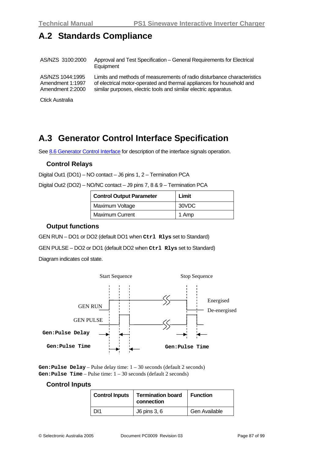# **A.2 Standards Compliance**

AS/NZS 3100:2000 Approval and Test Specification – General Requirements for Electrical **Equipment** AS/NZS 1044:1995 Amendment 1:1997 Amendment 2:2000 Limits and methods of measurements of radio disturbance characteristics of electrical motor-operated and thermal appliances for household and similar purposes, electric tools and similar electric apparatus.

Ctick Australia

# <span id="page-86-0"></span>**A.3 Generator Control Interface Specification**

See [8.6](#page-75-0) [Generator Control Interface](#page-75-0) for description of the interface signals operation.

#### **Control Relays**

Digital Out1 (DO1) – NO contact – J6 pins 1, 2 – Termination PCA

|  | Digital Out2 (DO2) – NO/NC contact – J9 pins 7, 8 & 9 – Termination PCA |  |  |
|--|-------------------------------------------------------------------------|--|--|

| <b>Control Output Parameter</b> | Limit |
|---------------------------------|-------|
| Maximum Voltage                 | 30VDC |
| <b>Maximum Current</b>          | 1 Amp |

#### **Output functions**

GEN RUN – DO1 or DO2 (default DO1 when **Ctrl Rlys** set to Standard)

GEN PULSE – DO2 or DO1 (default DO2 when **Ctrl Rlys** set to Standard)

Diagram indicates coil state.



**Gen:Pulse Delay** – Pulse delay time: 1 – 30 seconds (default 2 seconds) **Gen:Pulse Time** – Pulse time: 1 – 30 seconds (default 2 seconds)

#### **Control Inputs**

| <b>Control Inputs</b> | <b>Termination board</b><br>connection | <b>Function</b> |  |
|-----------------------|----------------------------------------|-----------------|--|
| וו                    | J6 pins 3, 6                           | Gen Available   |  |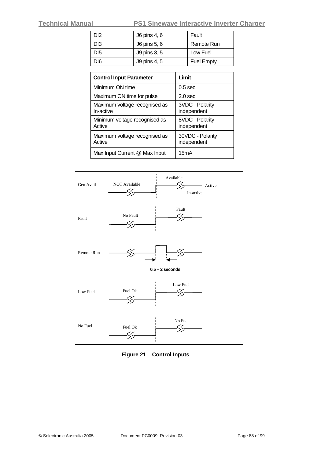**Technical Manual PS1 Sinewave Interactive Inverter Charger**

| D <sub>12</sub> | J6 pins 4, 6 | Fault             |
|-----------------|--------------|-------------------|
| DI3             | J6 pins 5, 6 | Remote Run        |
| D <sub>15</sub> | J9 pins 3, 5 | Low Fuel          |
| DI6             | J9 pins 4, 5 | <b>Fuel Empty</b> |

| <b>Control Input Parameter</b>             | Limit                           |
|--------------------------------------------|---------------------------------|
| Minimum ON time                            | $0.5$ sec                       |
| Maximum ON time for pulse                  | 2.0 <sub>sec</sub>              |
| Maximum voltage recognised as<br>In-active | 3VDC - Polarity<br>independent  |
| Minimum voltage recognised as<br>Active    | 8VDC - Polarity<br>independent  |
| Maximum voltage recognised as<br>Active    | 30VDC - Polarity<br>independent |
| Max Input Current @ Max Input              | 15mA                            |



**Figure 21 Control Inputs**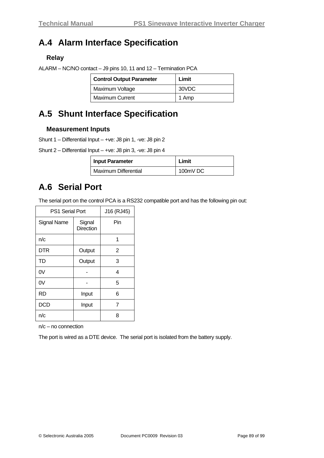# **A.4 Alarm Interface Specification**

#### **Relay**

|  |  | ALARM – NC/NO contact – J9 pins 10, 11 and 12 – Termination PCA |
|--|--|-----------------------------------------------------------------|
|  |  |                                                                 |

| <b>Control Output Parameter</b> | Limit |
|---------------------------------|-------|
| Maximum Voltage                 | 30VDC |
| <b>Maximum Current</b>          | 1 Amp |

# **A.5 Shunt Interface Specification**

#### **Measurement Inputs**

Shunt 1 – Differential Input – +ve: J8 pin 1, -ve: J8 pin 2

Shunt 2 – Differential Input – +ve: J8 pin 3, -ve: J8 pin 4

| <b>Input Parameter</b>      | Limit    |  |  |
|-----------------------------|----------|--|--|
| <b>Maximum Differential</b> | 100mV DC |  |  |

## **A.6 Serial Port**

The serial port on the control PCA is a RS232 compatible port and has the following pin out:

| PS1 Serial Port    | J16 (RJ45)                 |                |
|--------------------|----------------------------|----------------|
| <b>Signal Name</b> | Signal<br><b>Direction</b> | Pin            |
| n/c                |                            | 1              |
| DTR                | Output                     | $\overline{2}$ |
| <b>TD</b>          | Output                     | 3              |
| 0V                 |                            | 4              |
| 0V                 |                            | 5              |
| RD                 | Input                      | 6              |
| DCD                | Input                      | $\overline{7}$ |
| n/c                |                            | 8              |

n/c – no connection

The port is wired as a DTE device. The serial port is isolated from the battery supply.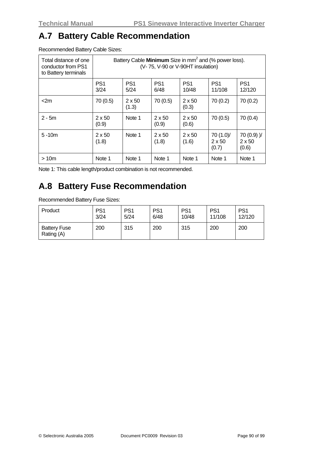### **A.7 Battery Cable Recommendation**

Recommended Battery Cable Sizes:

| Total distance of one<br>conductor from PS1<br>to Battery terminals | Battery Cable Minimum Size in mm <sup>2</sup> and (% power loss).<br>(V-75, V-90 or V-90HT insulation) |                         |                         |                          |                                     |                                        |
|---------------------------------------------------------------------|--------------------------------------------------------------------------------------------------------|-------------------------|-------------------------|--------------------------|-------------------------------------|----------------------------------------|
|                                                                     | PS <sub>1</sub><br>3/24                                                                                | PS <sub>1</sub><br>5/24 | PS <sub>1</sub><br>6/48 | PS <sub>1</sub><br>10/48 | PS <sub>1</sub><br>11/108           | PS <sub>1</sub><br>12/120              |
| $<$ 2m                                                              | 70 (0.5)                                                                                               | $2 \times 50$<br>(1.3)  | 70(0.5)                 | $2 \times 50$<br>(0.3)   | 70(0.2)                             | 70 (0.2)                               |
| $2 - 5m$                                                            | $2 \times 50$<br>(0.9)                                                                                 | Note 1                  | $2 \times 50$<br>(0.9)  | $2 \times 50$<br>(0.6)   | 70(0.5)                             | 70 (0.4)                               |
| $5 - 10m$                                                           | $2 \times 50$<br>(1.8)                                                                                 | Note 1                  | $2 \times 50$<br>(1.8)  | $2 \times 50$<br>(1.6)   | 70 (1.0)/<br>$2 \times 50$<br>(0.7) | $70(0.9)$ )/<br>$2 \times 50$<br>(0.6) |
| >10m                                                                | Note 1                                                                                                 | Note 1                  | Note 1                  | Note 1                   | Note 1                              | Note 1                                 |

Note 1: This cable length/product combination is not recommended.

# **A.8 Battery Fuse Recommendation**

Recommended Battery Fuse Sizes:

| Product                           | PS <sub>1</sub> | PS <sub>1</sub> | PS <sub>1</sub> | PS <sub>1</sub> | PS <sub>1</sub> | PS <sub>1</sub> |
|-----------------------------------|-----------------|-----------------|-----------------|-----------------|-----------------|-----------------|
|                                   | 3/24            | 5/24            | 6/48            | 10/48           | 11/108          | 12/120          |
| <b>Battery Fuse</b><br>Rating (A) | 200             | 315             | 200             | 315             | 200             | 200             |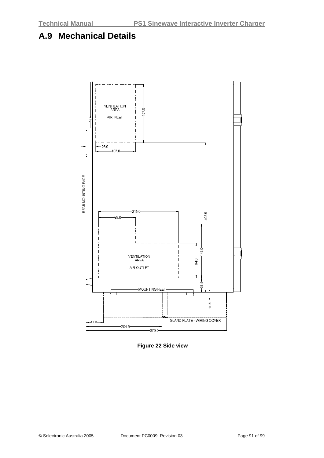# **A.9 Mechanical Details**



**Figure 22 Side view**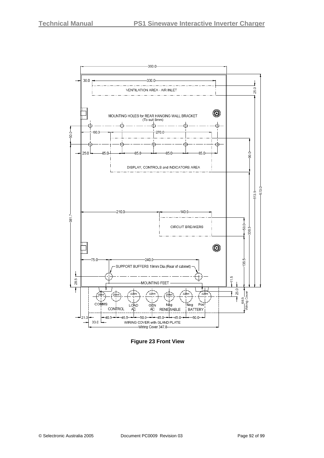

**Figure 23 Front View**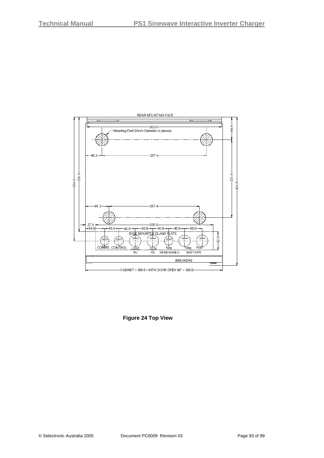

**Figure 24 Top View**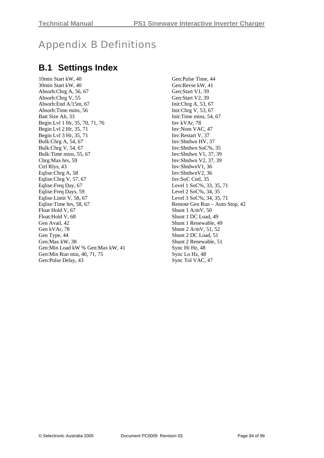# Appendix B Definitions

## **B.1 Settings Index**

10min Start kW, 40 30min Start kW, 40 Absorb:Chrg A, 56, 67 Absorb:Chrg V, 55 Absorb:End A/15m, 67 Absorb:Time mins, 56 Batt Size Ah, 33 Begin Lvl 1 Hr, 35, 70, 71, 76 Begin Lvl 2 Hr, 35, 71 Begin Lvl 3 Hr, 35, 71 Bulk:Chrg A, 54, 67 Bulk:Chrg V, 54, 67 Bulk:Time mins, 55, 67 Chrg:Max hrs, 59 Ctrl Rlys, 43 Eqlise:Chrg A, 58 Eqlise:Chrg V, 57, 67 Eqlise:Freq Day, 67 Eqlise:Freq Days, 59 Eqlise:Limit V, 58, 67 Eqlise:Time hrs, 58, 67 Float Hold V, 67 Float:Hold V, 68 Gen Avail, 42 Gen kVAr, 78 Gen Type, 44 Gen:Max kW, 38 Gen:Min Load kW % Gen:Max kW, 41 Gen:Min Run min, 40, 71, 75 Gen:Pulse Delay, 43

Gen:Pulse Time, 44 Gen:Revse kW, 41 Gen:Start V1, 39 Gen:Start V2, 39 Init:Chrg A, 53, 67 Init:Chrg V, 53, 67 Init:Time mins, 54, 67 Inv kVAr, 78 Inv:Nom VAC, 47 Inv:Restart V, 37 Inv:Shtdwn HV, 37 Inv:Shtdwn SoC%, 35 Inv:Shtdwn V1, 37, 39 Inv:Shtdwn V2, 37, 39 Inv:ShtdwnV1, 36 Inv:ShtdwnV2, 36 Inv:SoC Cntl, 35 Level 1 SoC%, 33, 35, 71 Level 2 SoC%, 34, 35 Level 3 SoC%, 34, 35, 71 Remote Gen Run – Auto Stop, 42 Shunt 1 A/mV, 50 Shunt 1 DC Load, 49 Shunt 1 Renewable, 49 Shunt 2 A/mV, 51, 52 Shunt 2 DC Load, 51 Shunt 2 Renewable, 51 Sync Hi Hz, 48 Sync Lo Hz, 48 Sync Tol VAC, 47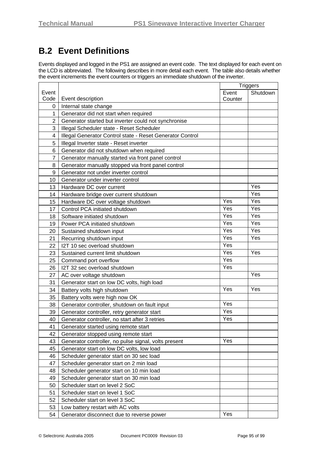# **B.2 Event Definitions**

Events displayed and logged in the PS1 are assigned an event code. The text displayed for each event on the LCD is abbreviated. The following describes in more detail each event. The table also details whether the event increments the event counters or triggers an immediate shutdown of the inverter.

|                | <b>Triggers</b>                                           |         |          |
|----------------|-----------------------------------------------------------|---------|----------|
| Event          |                                                           | Event   | Shutdown |
| Code           | Event description                                         | Counter |          |
| 0              | Internal state change                                     |         |          |
| 1              | Generator did not start when required                     |         |          |
| $\overline{2}$ | Generator started but inverter could not synchronise      |         |          |
| 3              | Illegal Scheduler state - Reset Scheduler                 |         |          |
| 4              | Illegal Generator Control state - Reset Generator Control |         |          |
| 5              | Illegal Inverter state - Reset inverter                   |         |          |
| 6              | Generator did not shutdown when required                  |         |          |
| $\overline{7}$ | Generator manually started via front panel control        |         |          |
| 8              | Generator manually stopped via front panel control        |         |          |
| 9              | Generator not under inverter control                      |         |          |
| 10             | Generator under inverter control                          |         |          |
| 13             | Hardware DC over current                                  |         | Yes      |
| 14             | Hardware bridge over current shutdown                     |         | Yes      |
| 15             | Hardware DC over voltage shutdown                         | Yes     | Yes      |
| 17             | Control PCA initiated shutdown                            | Yes     | Yes      |
| 18             | Software initiated shutdown                               | Yes     | Yes      |
| 19             | Power PCA initiated shutdown                              | Yes     | Yes      |
| 20             | Sustained shutdown input                                  | Yes     | Yes      |
| 21             | Recurring shutdown input                                  | Yes     | Yes      |
| 22             | I2T 10 sec overload shutdown                              | Yes     |          |
| 23             | Sustained current limit shutdown                          | Yes     | Yes      |
| 25             | Command port overflow                                     | Yes     |          |
| 26             | I2T 32 sec overload shutdown                              | Yes     |          |
| 27             | AC over voltage shutdown                                  |         | Yes      |
| 31             | Generator start on low DC volts, high load                |         |          |
| 34             | Battery volts high shutdown                               | Yes     | Yes      |
| 35             | Battery volts were high now OK                            |         |          |
| 38             | Generator controller, shutdown on fault input             | Yes     |          |
| 39             | Generator controller, retry generator start               | Yes     |          |
| 40             | Generator controller, no start after 3 retries            | Yes     |          |
| 41             | Generator started using remote start                      |         |          |
| 42             | Generator stopped using remote start                      |         |          |
| 43             | Generator controller, no pulse signal, volts present      | Yes     |          |
| 45             | Generator start on low DC volts, low load                 |         |          |
| 46             | Scheduler generator start on 30 sec load                  |         |          |
| 47             | Scheduler generator start on 2 min load                   |         |          |
| 48             | Scheduler generator start on 10 min load                  |         |          |
| 49             | Scheduler generator start on 30 min load                  |         |          |
| 50             | Scheduler start on level 2 SoC                            |         |          |
| 51             | Scheduler start on level 1 SoC                            |         |          |
| 52             | Scheduler start on level 3 SoC                            |         |          |
| 53             | Low battery restart with AC volts                         |         |          |
| 54             | Generator disconnect due to reverse power                 | Yes     |          |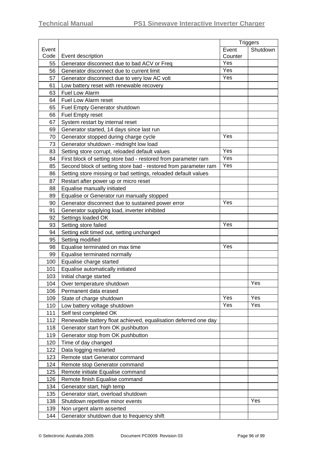|       |                                                                 | <b>Triggers</b> |          |
|-------|-----------------------------------------------------------------|-----------------|----------|
| Event |                                                                 | Event           | Shutdown |
| Code  | Event description                                               | Counter         |          |
| 55    | Generator disconnect due to bad ACV or Freq                     | Yes             |          |
| 56    | Generator disconnect due to current limit                       | Yes             |          |
| 57    | Generator disconnect due to very low AC volt                    | Yes             |          |
| 61    | Low battery reset with renewable recovery                       |                 |          |
| 63    | Fuel Low Alarm                                                  |                 |          |
| 64    | Fuel Low Alarm reset                                            |                 |          |
| 65    | <b>Fuel Empty Generator shutdown</b>                            |                 |          |
| 66    | Fuel Empty reset                                                |                 |          |
| 67    | System restart by internal reset                                |                 |          |
| 69    | Generator started, 14 days since last run                       |                 |          |
| 70    | Generator stopped during charge cycle                           | Yes             |          |
| 73    | Generator shutdown - midnight low load                          |                 |          |
| 83    | Setting store corrupt, reloaded default values                  | Yes             |          |
| 84    | First block of setting store bad - restored from parameter ram  | Yes             |          |
| 85    | Second block of setting store bad - restored from parameter ram | Yes             |          |
| 86    | Setting store missing or bad settings, reloaded default values  |                 |          |
| 87    | Restart after power up or micro reset                           |                 |          |
| 88    | Equalise manually initiated                                     |                 |          |
| 89    | Equalise or Generator run manually stopped                      |                 |          |
| 90    | Generator disconnect due to sustained power error               | Yes             |          |
| 91    | Generator supplying load, inverter inhibited                    |                 |          |
| 92    | Settings loaded OK                                              |                 |          |
| 93    | Setting store failed                                            | Yes             |          |
| 94    | Setting edit timed out, setting unchanged                       |                 |          |
| 95    | Setting modified                                                |                 |          |
| 98    | Equalise terminated on max time                                 | Yes             |          |
| 99    | Equalise terminated normally                                    |                 |          |
| 100   | Equalise charge started                                         |                 |          |
| 101   | Equalise automatically initiated                                |                 |          |
| 103   | Initial charge started                                          |                 |          |
| 104   | Over temperature shutdown                                       |                 | Yes      |
| 106   | Permanent data erased                                           |                 |          |
| 109   | State of charge shutdown                                        | Yes             | Yes      |
| 110   | Low battery voltage shutdown                                    | Yes             | Yes      |
| 111   | Self test completed OK                                          |                 |          |
| 112   | Renewable battery float achieved, equalisation deferred one day |                 |          |
| 118   | Generator start from OK pushbutton                              |                 |          |
| 119   | Generator stop from OK pushbutton                               |                 |          |
| 120   | Time of day changed                                             |                 |          |
| 122   | Data logging restarted                                          |                 |          |
| 123   | Remote start Generator command                                  |                 |          |
| 124   | Remote stop Generator command                                   |                 |          |
| 125   | Remote initiate Equalise command                                |                 |          |
| 126   | Remote finish Equalise command                                  |                 |          |
| 134   | Generator start, high temp                                      |                 |          |
| 135   | Generator start, overload shutdown                              |                 |          |
| 138   | Shutdown repetitive minor events                                |                 | Yes      |
| 139   | Non urgent alarm asserted                                       |                 |          |
| 144   | Generator shutdown due to frequency shift                       |                 |          |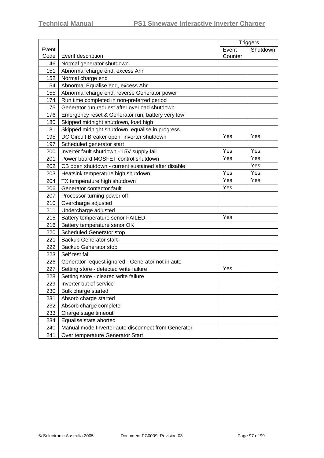|       |                                                     |         | <b>Triggers</b> |  |
|-------|-----------------------------------------------------|---------|-----------------|--|
| Event |                                                     | Event   | Shutdown        |  |
| Code  | Event description                                   | Counter |                 |  |
| 146   | Normal generator shutdown                           |         |                 |  |
| 151   | Abnormal charge end, excess Ahr                     |         |                 |  |
| 152   | Normal charge end                                   |         |                 |  |
| 154   | Abnormal Equalise end, excess Ahr                   |         |                 |  |
| 155   | Abnormal charge end, reverse Generator power        |         |                 |  |
| 174   | Run time completed in non-preferred period          |         |                 |  |
| 175   | Generator run request after overload shutdown       |         |                 |  |
| 176   | Emergency reset & Generator run, battery very low   |         |                 |  |
| 180   | Skipped midnight shutdown, load high                |         |                 |  |
| 181   | Skipped midnight shutdown, equalise in progress     |         |                 |  |
| 195   | DC Circuit Breaker open, inverter shutdown          | Yes     | Yes             |  |
| 197   | Scheduled generator start                           |         |                 |  |
| 200   | Inverter fault shutdown - 15V supply fail           | Yes     | Yes             |  |
| 201   | Power board MOSFET control shutdown                 | Yes     | Yes             |  |
| 202   | CB open shutdown - current sustained after disable  |         | Yes             |  |
| 203   | Heatsink temperature high shutdown                  | Yes     | Yes             |  |
| 204   | TX temperature high shutdown                        | Yes     | Yes             |  |
| 206   | Generator contactor fault                           | Yes     |                 |  |
| 207   | Processor turning power off                         |         |                 |  |
| 210   | Overcharge adjusted                                 |         |                 |  |
| 211   | Undercharge adjusted                                |         |                 |  |
| 215   | Battery temperature senor FAILED                    | Yes     |                 |  |
| 216   | Battery temperature senor OK                        |         |                 |  |
| 220   | <b>Scheduled Generator stop</b>                     |         |                 |  |
| 221   | <b>Backup Generator start</b>                       |         |                 |  |
| 222   | <b>Backup Generator stop</b>                        |         |                 |  |
| 223   | Self test fail                                      |         |                 |  |
| 226   | Generator request ignored - Generator not in auto   |         |                 |  |
| 227   | Setting store - detected write failure              | Yes     |                 |  |
| 228   | Setting store - cleared write failure               |         |                 |  |
|       | 229   Inverter out of service                       |         |                 |  |
| 230   | Bulk charge started                                 |         |                 |  |
| 231   | Absorb charge started                               |         |                 |  |
| 232   | Absorb charge complete                              |         |                 |  |
| 233   | Charge stage timeout                                |         |                 |  |
| 234   | Equalise state aborted                              |         |                 |  |
| 240   | Manual mode Inverter auto disconnect from Generator |         |                 |  |
| 241   | Over temperature Generator Start                    |         |                 |  |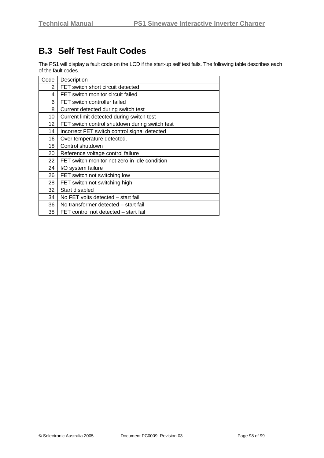# **B.3 Self Test Fault Codes**

The PS1 will display a fault code on the LCD if the start-up self test fails. The following table describes each of the fault codes.

| Code | Description                                    |
|------|------------------------------------------------|
| 2    | FET switch short circuit detected              |
| 4    | FET switch monitor circuit failed              |
| 6    | FET switch controller failed                   |
| 8    | Current detected during switch test            |
| 10   | Current limit detected during switch test      |
| 12   | FET switch control shutdown during switch test |
| 14   | Incorrect FET switch control signal detected   |
| 16   | Over temperature detected.                     |
| 18   | Control shutdown                               |
| 20   | Reference voltage control failure              |
| 22   | FET switch monitor not zero in idle condition  |
| 24   | I/O system failure                             |
| 26   | FET switch not switching low                   |
| 28   | FET switch not switching high                  |
| 32   | Start disabled                                 |
| 34   | No FET volts detected - start fail             |
| 36   | No transformer detected – start fail           |
| 38   | FET control not detected – start fail          |